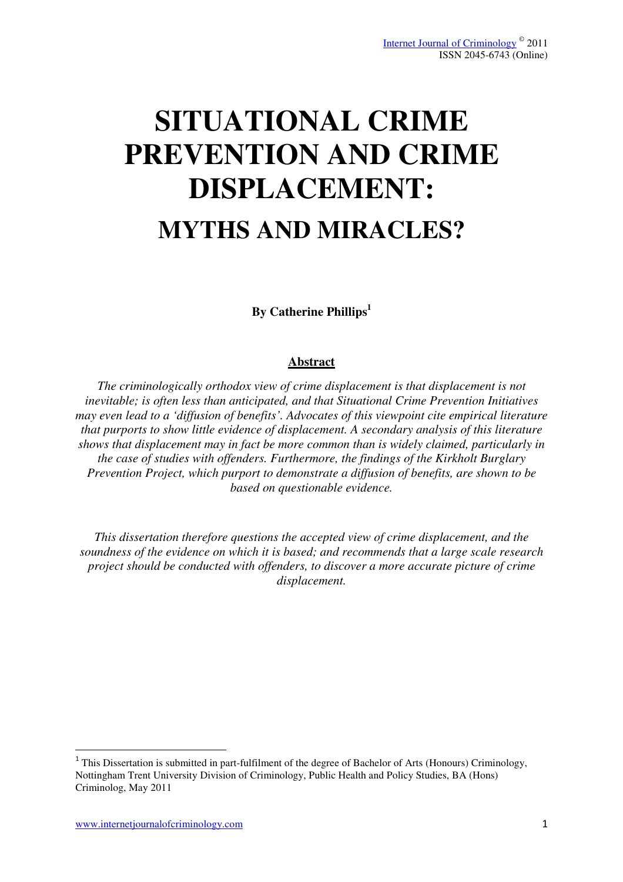# **SITUATIONAL CRIME PREVENTION AND CRIME DISPLACEMENT: MYTHS AND MIRACLES?**

**By Catherine Phillips<sup>1</sup>**

# **Abstract**

*The criminologically orthodox view of crime displacement is that displacement is not inevitable; is often less than anticipated, and that Situational Crime Prevention Initiatives may even lead to a 'diffusion of benefits'. Advocates of this viewpoint cite empirical literature that purports to show little evidence of displacement. A secondary analysis of this literature shows that displacement may in fact be more common than is widely claimed, particularly in the case of studies with offenders. Furthermore, the findings of the Kirkholt Burglary Prevention Project, which purport to demonstrate a diffusion of benefits, are shown to be based on questionable evidence.* 

*This dissertation therefore questions the accepted view of crime displacement, and the soundness of the evidence on which it is based; and recommends that a large scale research project should be conducted with offenders, to discover a more accurate picture of crime displacement.* 

l

 $1$  This Dissertation is submitted in part-fulfilment of the degree of Bachelor of Arts (Honours) Criminology, Nottingham Trent University Division of Criminology, Public Health and Policy Studies, BA (Hons) Criminolog, May 2011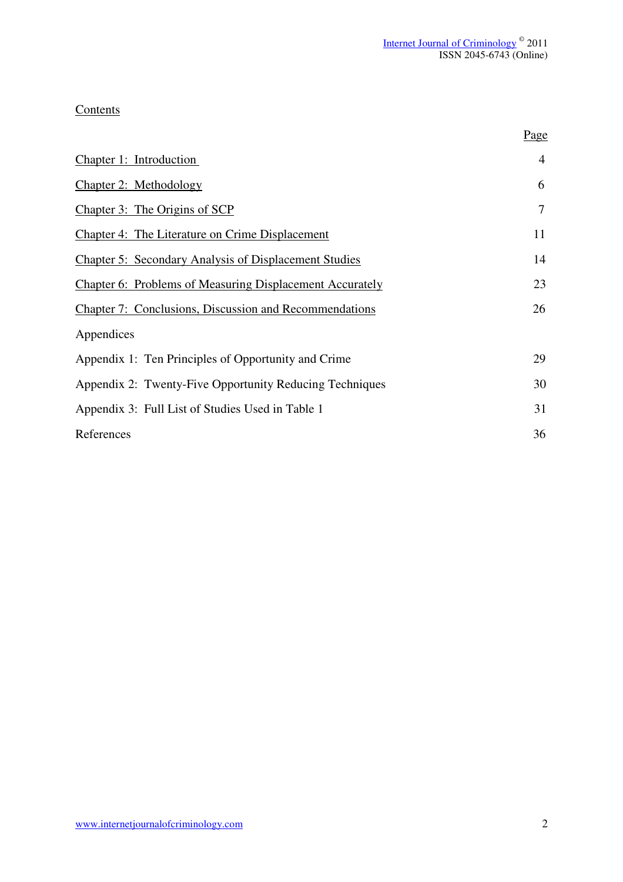Page

# **Contents**

| Chapter 1: Introduction                                         | $\overline{4}$ |
|-----------------------------------------------------------------|----------------|
| <b>Chapter 2: Methodology</b>                                   | 6              |
| Chapter 3: The Origins of SCP                                   | $\overline{7}$ |
| <b>Chapter 4: The Literature on Crime Displacement</b>          | 11             |
| <b>Chapter 5: Secondary Analysis of Displacement Studies</b>    | 14             |
| <b>Chapter 6: Problems of Measuring Displacement Accurately</b> | 23             |
| <b>Chapter 7: Conclusions, Discussion and Recommendations</b>   | 26             |
| Appendices                                                      |                |
| Appendix 1: Ten Principles of Opportunity and Crime             | 29             |
| Appendix 2: Twenty-Five Opportunity Reducing Techniques         | 30             |
| Appendix 3: Full List of Studies Used in Table 1                | 31             |
| References                                                      | 36             |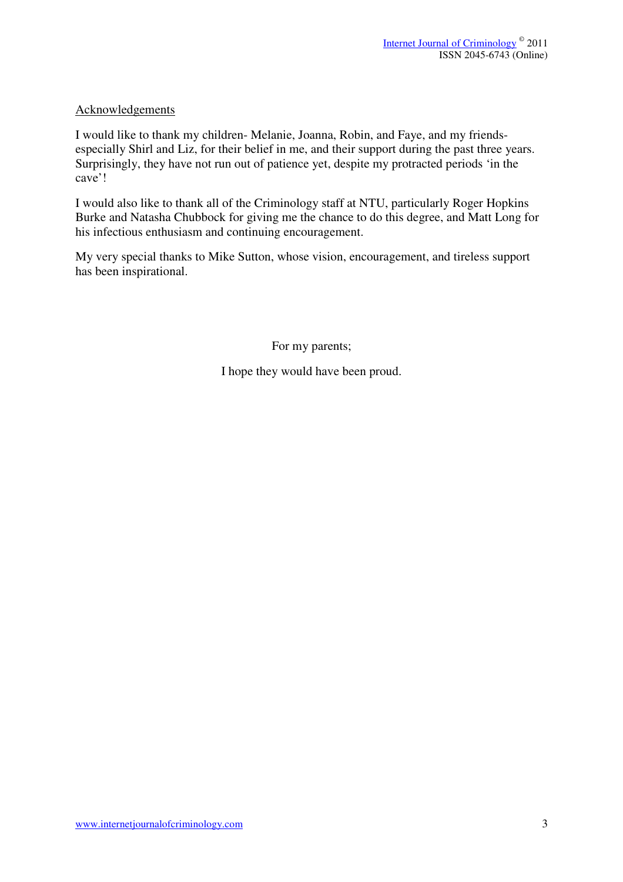## Acknowledgements

I would like to thank my children- Melanie, Joanna, Robin, and Faye, and my friendsespecially Shirl and Liz, for their belief in me, and their support during the past three years. Surprisingly, they have not run out of patience yet, despite my protracted periods 'in the cave'!

I would also like to thank all of the Criminology staff at NTU, particularly Roger Hopkins Burke and Natasha Chubbock for giving me the chance to do this degree, and Matt Long for his infectious enthusiasm and continuing encouragement.

My very special thanks to Mike Sutton, whose vision, encouragement, and tireless support has been inspirational.

For my parents;

I hope they would have been proud.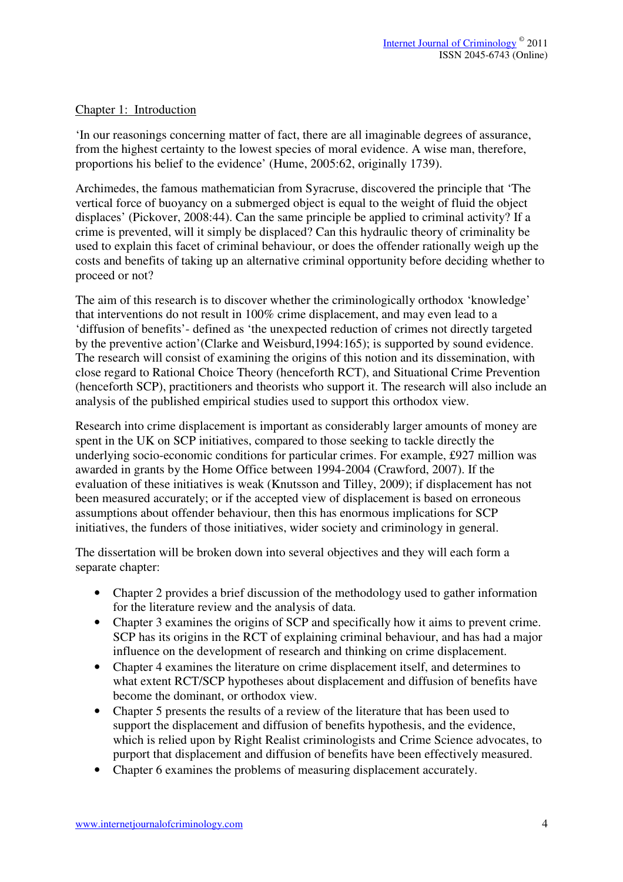#### Chapter 1: Introduction

'In our reasonings concerning matter of fact, there are all imaginable degrees of assurance, from the highest certainty to the lowest species of moral evidence. A wise man, therefore, proportions his belief to the evidence' (Hume, 2005:62, originally 1739).

Archimedes, the famous mathematician from Syracruse, discovered the principle that 'The vertical force of buoyancy on a submerged object is equal to the weight of fluid the object displaces' (Pickover, 2008:44). Can the same principle be applied to criminal activity? If a crime is prevented, will it simply be displaced? Can this hydraulic theory of criminality be used to explain this facet of criminal behaviour, or does the offender rationally weigh up the costs and benefits of taking up an alternative criminal opportunity before deciding whether to proceed or not?

The aim of this research is to discover whether the criminologically orthodox 'knowledge' that interventions do not result in 100% crime displacement, and may even lead to a 'diffusion of benefits'- defined as 'the unexpected reduction of crimes not directly targeted by the preventive action'(Clarke and Weisburd,1994:165); is supported by sound evidence. The research will consist of examining the origins of this notion and its dissemination, with close regard to Rational Choice Theory (henceforth RCT), and Situational Crime Prevention (henceforth SCP), practitioners and theorists who support it. The research will also include an analysis of the published empirical studies used to support this orthodox view.

Research into crime displacement is important as considerably larger amounts of money are spent in the UK on SCP initiatives, compared to those seeking to tackle directly the underlying socio-economic conditions for particular crimes. For example, £927 million was awarded in grants by the Home Office between 1994-2004 (Crawford, 2007). If the evaluation of these initiatives is weak (Knutsson and Tilley, 2009); if displacement has not been measured accurately; or if the accepted view of displacement is based on erroneous assumptions about offender behaviour, then this has enormous implications for SCP initiatives, the funders of those initiatives, wider society and criminology in general.

The dissertation will be broken down into several objectives and they will each form a separate chapter:

- Chapter 2 provides a brief discussion of the methodology used to gather information for the literature review and the analysis of data.
- Chapter 3 examines the origins of SCP and specifically how it aims to prevent crime. SCP has its origins in the RCT of explaining criminal behaviour, and has had a major influence on the development of research and thinking on crime displacement.
- Chapter 4 examines the literature on crime displacement itself, and determines to what extent RCT/SCP hypotheses about displacement and diffusion of benefits have become the dominant, or orthodox view.
- Chapter 5 presents the results of a review of the literature that has been used to support the displacement and diffusion of benefits hypothesis, and the evidence, which is relied upon by Right Realist criminologists and Crime Science advocates, to purport that displacement and diffusion of benefits have been effectively measured.
- Chapter 6 examines the problems of measuring displacement accurately.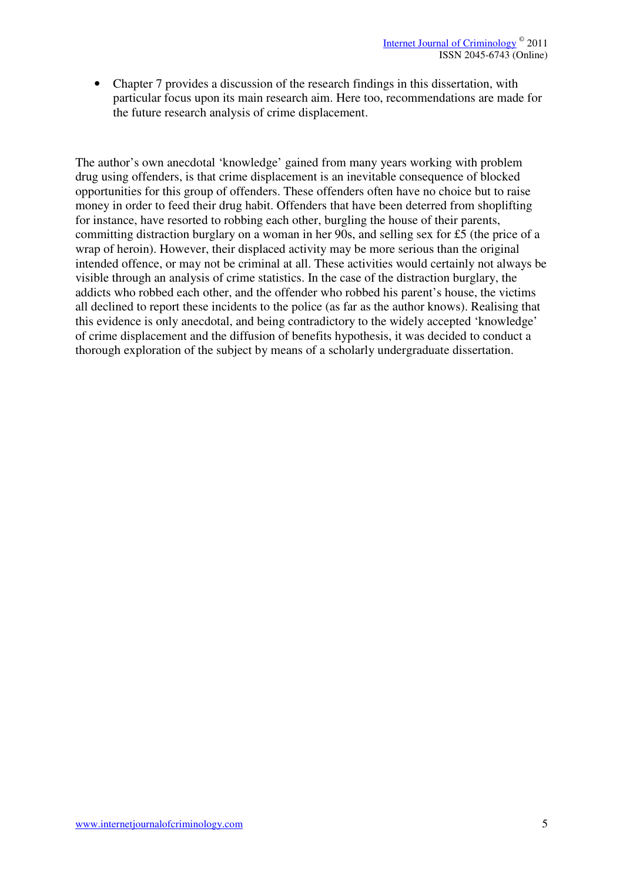• Chapter 7 provides a discussion of the research findings in this dissertation, with particular focus upon its main research aim. Here too, recommendations are made for the future research analysis of crime displacement.

The author's own anecdotal 'knowledge' gained from many years working with problem drug using offenders, is that crime displacement is an inevitable consequence of blocked opportunities for this group of offenders. These offenders often have no choice but to raise money in order to feed their drug habit. Offenders that have been deterred from shoplifting for instance, have resorted to robbing each other, burgling the house of their parents, committing distraction burglary on a woman in her 90s, and selling sex for £5 (the price of a wrap of heroin). However, their displaced activity may be more serious than the original intended offence, or may not be criminal at all. These activities would certainly not always be visible through an analysis of crime statistics. In the case of the distraction burglary, the addicts who robbed each other, and the offender who robbed his parent's house, the victims all declined to report these incidents to the police (as far as the author knows). Realising that this evidence is only anecdotal, and being contradictory to the widely accepted 'knowledge' of crime displacement and the diffusion of benefits hypothesis, it was decided to conduct a thorough exploration of the subject by means of a scholarly undergraduate dissertation.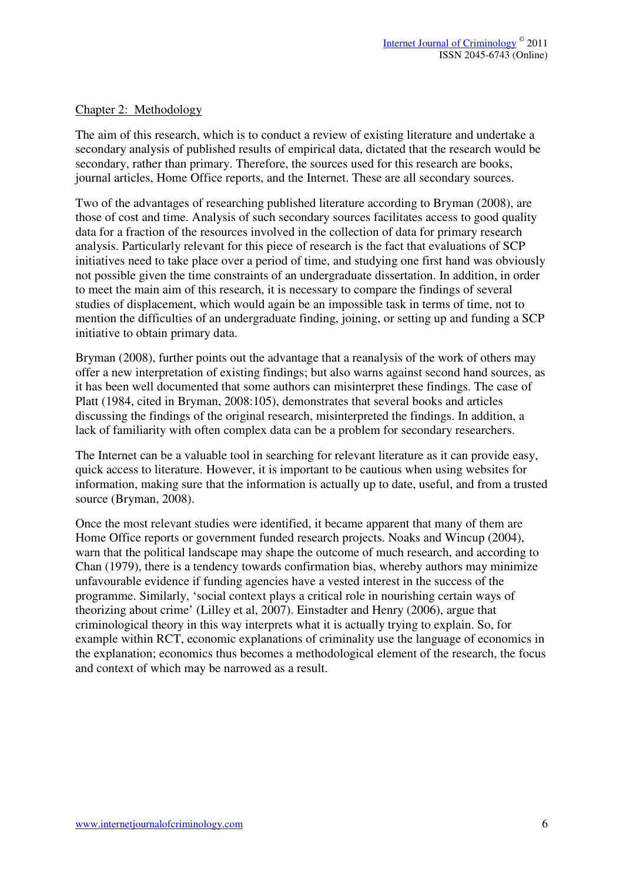#### Chapter 2: Methodology

The aim of this research, which is to conduct a review of existing literature and undertake a secondary analysis of published results of empirical data, dictated that the research would be secondary, rather than primary. Therefore, the sources used for this research are books, journal articles, Home Office reports, and the Internet. These are all secondary sources.

Two of the advantages of researching published literature according to Bryman (2008), are those of cost and time. Analysis of such secondary sources facilitates access to good quality data for a fraction of the resources involved in the collection of data for primary research analysis. Particularly relevant for this piece of research is the fact that evaluations of SCP initiatives need to take place over a period of time, and studying one first hand was obviously not possible given the time constraints of an undergraduate dissertation. In addition, in order to meet the main aim of this research, it is necessary to compare the findings of several studies of displacement, which would again be an impossible task in terms of time, not to mention the difficulties of an undergraduate finding, joining, or setting up and funding a SCP initiative to obtain primary data.

Bryman (2008), further points out the advantage that a reanalysis of the work of others may offer a new interpretation of existing findings; but also warns against second hand sources, as it has been well documented that some authors can misinterpret these findings. The case of Platt (1984, cited in Bryman, 2008:105), demonstrates that several books and articles discussing the findings of the original research, misinterpreted the findings. In addition, a lack of familiarity with often complex data can be a problem for secondary researchers.

The Internet can be a valuable tool in searching for relevant literature as it can provide easy, quick access to literature. However, it is important to be cautious when using websites for information, making sure that the information is actually up to date, useful, and from a trusted source (Bryman, 2008).

Once the most relevant studies were identified, it became apparent that many of them are Home Office reports or government funded research projects. Noaks and Wincup (2004), warn that the political landscape may shape the outcome of much research, and according to Chan (1979), there is a tendency towards confirmation bias, whereby authors may minimize unfavourable evidence if funding agencies have a vested interest in the success of the programme. Similarly, 'social context plays a critical role in nourishing certain ways of theorizing about crime' (Lilley et al, 2007). Einstadter and Henry (2006), argue that criminological theory in this way interprets what it is actually trying to explain. So, for example within RCT, economic explanations of criminality use the language of economics in the explanation; economics thus becomes a methodological element of the research, the focus and context of which may be narrowed as a result.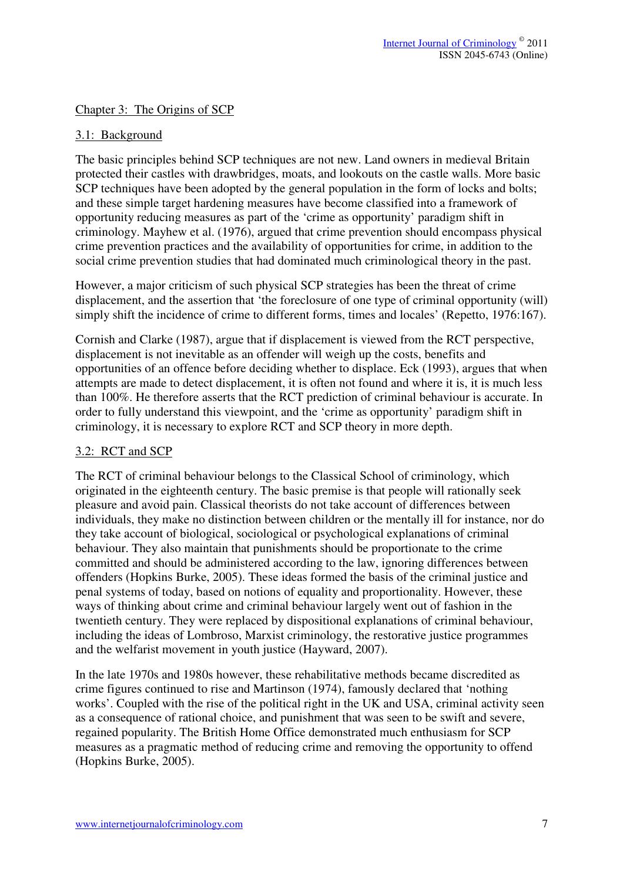Chapter 3: The Origins of SCP

## 3.1: Background

The basic principles behind SCP techniques are not new. Land owners in medieval Britain protected their castles with drawbridges, moats, and lookouts on the castle walls. More basic SCP techniques have been adopted by the general population in the form of locks and bolts; and these simple target hardening measures have become classified into a framework of opportunity reducing measures as part of the 'crime as opportunity' paradigm shift in criminology. Mayhew et al. (1976), argued that crime prevention should encompass physical crime prevention practices and the availability of opportunities for crime, in addition to the social crime prevention studies that had dominated much criminological theory in the past.

However, a major criticism of such physical SCP strategies has been the threat of crime displacement, and the assertion that 'the foreclosure of one type of criminal opportunity (will) simply shift the incidence of crime to different forms, times and locales' (Repetto, 1976:167).

Cornish and Clarke (1987), argue that if displacement is viewed from the RCT perspective, displacement is not inevitable as an offender will weigh up the costs, benefits and opportunities of an offence before deciding whether to displace. Eck (1993), argues that when attempts are made to detect displacement, it is often not found and where it is, it is much less than 100%. He therefore asserts that the RCT prediction of criminal behaviour is accurate. In order to fully understand this viewpoint, and the 'crime as opportunity' paradigm shift in criminology, it is necessary to explore RCT and SCP theory in more depth.

#### 3.2: RCT and SCP

The RCT of criminal behaviour belongs to the Classical School of criminology, which originated in the eighteenth century. The basic premise is that people will rationally seek pleasure and avoid pain. Classical theorists do not take account of differences between individuals, they make no distinction between children or the mentally ill for instance, nor do they take account of biological, sociological or psychological explanations of criminal behaviour. They also maintain that punishments should be proportionate to the crime committed and should be administered according to the law, ignoring differences between offenders (Hopkins Burke, 2005). These ideas formed the basis of the criminal justice and penal systems of today, based on notions of equality and proportionality. However, these ways of thinking about crime and criminal behaviour largely went out of fashion in the twentieth century. They were replaced by dispositional explanations of criminal behaviour, including the ideas of Lombroso, Marxist criminology, the restorative justice programmes and the welfarist movement in youth justice (Hayward, 2007).

In the late 1970s and 1980s however, these rehabilitative methods became discredited as crime figures continued to rise and Martinson (1974), famously declared that 'nothing works'. Coupled with the rise of the political right in the UK and USA, criminal activity seen as a consequence of rational choice, and punishment that was seen to be swift and severe, regained popularity. The British Home Office demonstrated much enthusiasm for SCP measures as a pragmatic method of reducing crime and removing the opportunity to offend (Hopkins Burke, 2005).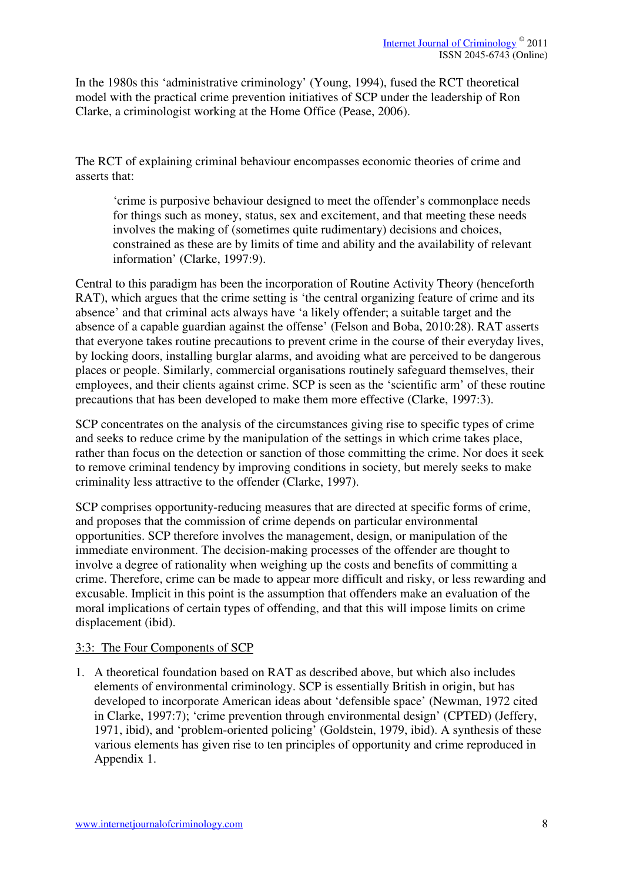In the 1980s this 'administrative criminology' (Young, 1994), fused the RCT theoretical model with the practical crime prevention initiatives of SCP under the leadership of Ron Clarke, a criminologist working at the Home Office (Pease, 2006).

The RCT of explaining criminal behaviour encompasses economic theories of crime and asserts that:

'crime is purposive behaviour designed to meet the offender's commonplace needs for things such as money, status, sex and excitement, and that meeting these needs involves the making of (sometimes quite rudimentary) decisions and choices, constrained as these are by limits of time and ability and the availability of relevant information' (Clarke, 1997:9).

Central to this paradigm has been the incorporation of Routine Activity Theory (henceforth RAT), which argues that the crime setting is 'the central organizing feature of crime and its absence' and that criminal acts always have 'a likely offender; a suitable target and the absence of a capable guardian against the offense' (Felson and Boba, 2010:28). RAT asserts that everyone takes routine precautions to prevent crime in the course of their everyday lives, by locking doors, installing burglar alarms, and avoiding what are perceived to be dangerous places or people. Similarly, commercial organisations routinely safeguard themselves, their employees, and their clients against crime. SCP is seen as the 'scientific arm' of these routine precautions that has been developed to make them more effective (Clarke, 1997:3).

SCP concentrates on the analysis of the circumstances giving rise to specific types of crime and seeks to reduce crime by the manipulation of the settings in which crime takes place, rather than focus on the detection or sanction of those committing the crime. Nor does it seek to remove criminal tendency by improving conditions in society, but merely seeks to make criminality less attractive to the offender (Clarke, 1997).

SCP comprises opportunity-reducing measures that are directed at specific forms of crime, and proposes that the commission of crime depends on particular environmental opportunities. SCP therefore involves the management, design, or manipulation of the immediate environment. The decision-making processes of the offender are thought to involve a degree of rationality when weighing up the costs and benefits of committing a crime. Therefore, crime can be made to appear more difficult and risky, or less rewarding and excusable. Implicit in this point is the assumption that offenders make an evaluation of the moral implications of certain types of offending, and that this will impose limits on crime displacement (ibid).

#### 3:3: The Four Components of SCP

1. A theoretical foundation based on RAT as described above, but which also includes elements of environmental criminology. SCP is essentially British in origin, but has developed to incorporate American ideas about 'defensible space' (Newman, 1972 cited in Clarke, 1997:7); 'crime prevention through environmental design' (CPTED) (Jeffery, 1971, ibid), and 'problem-oriented policing' (Goldstein, 1979, ibid). A synthesis of these various elements has given rise to ten principles of opportunity and crime reproduced in Appendix 1.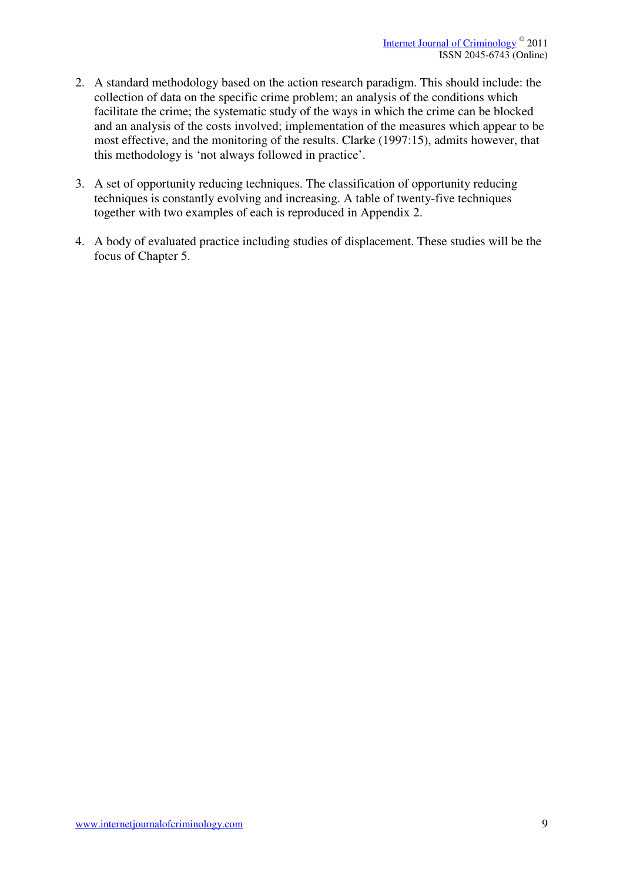- 2. A standard methodology based on the action research paradigm. This should include: the collection of data on the specific crime problem; an analysis of the conditions which facilitate the crime; the systematic study of the ways in which the crime can be blocked and an analysis of the costs involved; implementation of the measures which appear to be most effective, and the monitoring of the results. Clarke (1997:15), admits however, that this methodology is 'not always followed in practice'.
- 3. A set of opportunity reducing techniques. The classification of opportunity reducing techniques is constantly evolving and increasing. A table of twenty-five techniques together with two examples of each is reproduced in Appendix 2.
- 4. A body of evaluated practice including studies of displacement. These studies will be the focus of Chapter 5.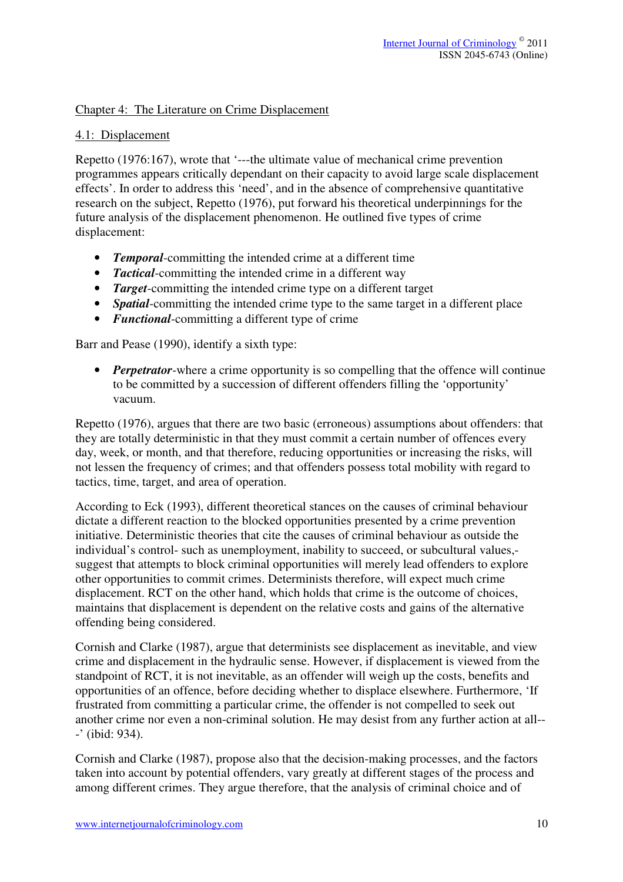#### Chapter 4: The Literature on Crime Displacement

#### 4.1: Displacement

Repetto (1976:167), wrote that '---the ultimate value of mechanical crime prevention programmes appears critically dependant on their capacity to avoid large scale displacement effects'. In order to address this 'need', and in the absence of comprehensive quantitative research on the subject, Repetto (1976), put forward his theoretical underpinnings for the future analysis of the displacement phenomenon. He outlined five types of crime displacement:

- *Temporal*-committing the intended crime at a different time
- *Tactical*-committing the intended crime in a different way
- *Target*-committing the intended crime type on a different target
- *Spatial*-committing the intended crime type to the same target in a different place
- *Functional*-committing a different type of crime

Barr and Pease (1990), identify a sixth type:

• *Perpetrator*-where a crime opportunity is so compelling that the offence will continue to be committed by a succession of different offenders filling the 'opportunity' vacuum.

Repetto (1976), argues that there are two basic (erroneous) assumptions about offenders: that they are totally deterministic in that they must commit a certain number of offences every day, week, or month, and that therefore, reducing opportunities or increasing the risks, will not lessen the frequency of crimes; and that offenders possess total mobility with regard to tactics, time, target, and area of operation.

According to Eck (1993), different theoretical stances on the causes of criminal behaviour dictate a different reaction to the blocked opportunities presented by a crime prevention initiative. Deterministic theories that cite the causes of criminal behaviour as outside the individual's control- such as unemployment, inability to succeed, or subcultural values, suggest that attempts to block criminal opportunities will merely lead offenders to explore other opportunities to commit crimes. Determinists therefore, will expect much crime displacement. RCT on the other hand, which holds that crime is the outcome of choices, maintains that displacement is dependent on the relative costs and gains of the alternative offending being considered.

Cornish and Clarke (1987), argue that determinists see displacement as inevitable, and view crime and displacement in the hydraulic sense. However, if displacement is viewed from the standpoint of RCT, it is not inevitable, as an offender will weigh up the costs, benefits and opportunities of an offence, before deciding whether to displace elsewhere. Furthermore, 'If frustrated from committing a particular crime, the offender is not compelled to seek out another crime nor even a non-criminal solution. He may desist from any further action at all-- -' (ibid: 934).

Cornish and Clarke (1987), propose also that the decision-making processes, and the factors taken into account by potential offenders, vary greatly at different stages of the process and among different crimes. They argue therefore, that the analysis of criminal choice and of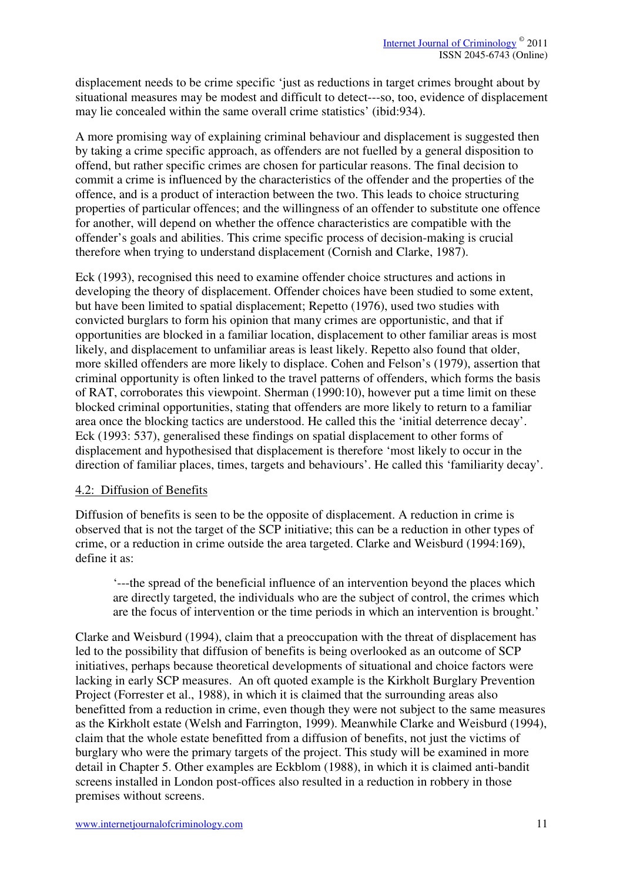displacement needs to be crime specific 'just as reductions in target crimes brought about by situational measures may be modest and difficult to detect---so, too, evidence of displacement may lie concealed within the same overall crime statistics' (ibid:934).

A more promising way of explaining criminal behaviour and displacement is suggested then by taking a crime specific approach, as offenders are not fuelled by a general disposition to offend, but rather specific crimes are chosen for particular reasons. The final decision to commit a crime is influenced by the characteristics of the offender and the properties of the offence, and is a product of interaction between the two. This leads to choice structuring properties of particular offences; and the willingness of an offender to substitute one offence for another, will depend on whether the offence characteristics are compatible with the offender's goals and abilities. This crime specific process of decision-making is crucial therefore when trying to understand displacement (Cornish and Clarke, 1987).

Eck (1993), recognised this need to examine offender choice structures and actions in developing the theory of displacement. Offender choices have been studied to some extent, but have been limited to spatial displacement; Repetto (1976), used two studies with convicted burglars to form his opinion that many crimes are opportunistic, and that if opportunities are blocked in a familiar location, displacement to other familiar areas is most likely, and displacement to unfamiliar areas is least likely. Repetto also found that older, more skilled offenders are more likely to displace. Cohen and Felson's (1979), assertion that criminal opportunity is often linked to the travel patterns of offenders, which forms the basis of RAT, corroborates this viewpoint. Sherman (1990:10), however put a time limit on these blocked criminal opportunities, stating that offenders are more likely to return to a familiar area once the blocking tactics are understood. He called this the 'initial deterrence decay'. Eck (1993: 537), generalised these findings on spatial displacement to other forms of displacement and hypothesised that displacement is therefore 'most likely to occur in the direction of familiar places, times, targets and behaviours'. He called this 'familiarity decay'.

#### 4.2: Diffusion of Benefits

Diffusion of benefits is seen to be the opposite of displacement. A reduction in crime is observed that is not the target of the SCP initiative; this can be a reduction in other types of crime, or a reduction in crime outside the area targeted. Clarke and Weisburd (1994:169), define it as:

'---the spread of the beneficial influence of an intervention beyond the places which are directly targeted, the individuals who are the subject of control, the crimes which are the focus of intervention or the time periods in which an intervention is brought.'

Clarke and Weisburd (1994), claim that a preoccupation with the threat of displacement has led to the possibility that diffusion of benefits is being overlooked as an outcome of SCP initiatives, perhaps because theoretical developments of situational and choice factors were lacking in early SCP measures. An oft quoted example is the Kirkholt Burglary Prevention Project (Forrester et al., 1988), in which it is claimed that the surrounding areas also benefitted from a reduction in crime, even though they were not subject to the same measures as the Kirkholt estate (Welsh and Farrington, 1999). Meanwhile Clarke and Weisburd (1994), claim that the whole estate benefitted from a diffusion of benefits, not just the victims of burglary who were the primary targets of the project. This study will be examined in more detail in Chapter 5. Other examples are Eckblom (1988), in which it is claimed anti-bandit screens installed in London post-offices also resulted in a reduction in robbery in those premises without screens.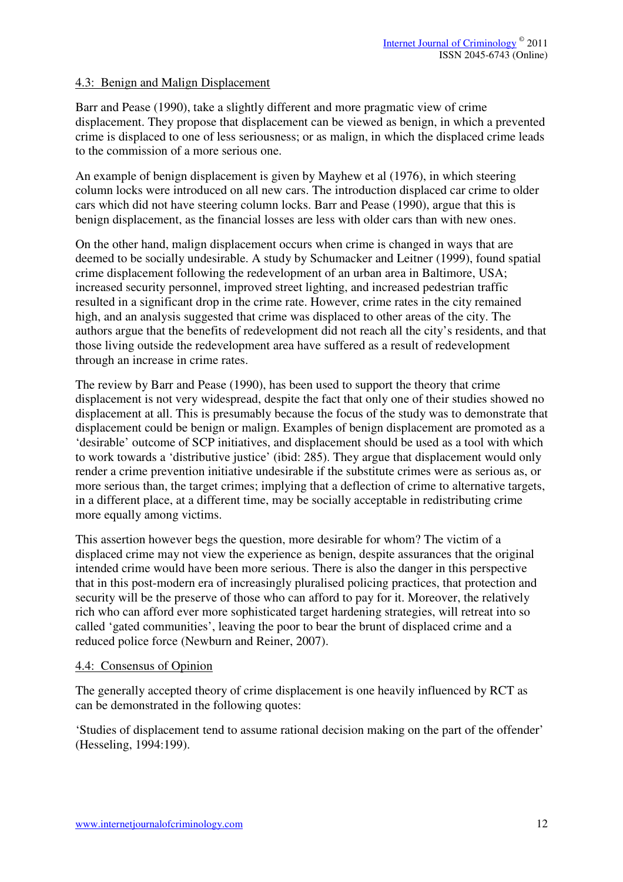#### 4.3: Benign and Malign Displacement

Barr and Pease (1990), take a slightly different and more pragmatic view of crime displacement. They propose that displacement can be viewed as benign, in which a prevented crime is displaced to one of less seriousness; or as malign, in which the displaced crime leads to the commission of a more serious one.

An example of benign displacement is given by Mayhew et al (1976), in which steering column locks were introduced on all new cars. The introduction displaced car crime to older cars which did not have steering column locks. Barr and Pease (1990), argue that this is benign displacement, as the financial losses are less with older cars than with new ones.

On the other hand, malign displacement occurs when crime is changed in ways that are deemed to be socially undesirable. A study by Schumacker and Leitner (1999), found spatial crime displacement following the redevelopment of an urban area in Baltimore, USA; increased security personnel, improved street lighting, and increased pedestrian traffic resulted in a significant drop in the crime rate. However, crime rates in the city remained high, and an analysis suggested that crime was displaced to other areas of the city. The authors argue that the benefits of redevelopment did not reach all the city's residents, and that those living outside the redevelopment area have suffered as a result of redevelopment through an increase in crime rates.

The review by Barr and Pease (1990), has been used to support the theory that crime displacement is not very widespread, despite the fact that only one of their studies showed no displacement at all. This is presumably because the focus of the study was to demonstrate that displacement could be benign or malign. Examples of benign displacement are promoted as a 'desirable' outcome of SCP initiatives, and displacement should be used as a tool with which to work towards a 'distributive justice' (ibid: 285). They argue that displacement would only render a crime prevention initiative undesirable if the substitute crimes were as serious as, or more serious than, the target crimes; implying that a deflection of crime to alternative targets, in a different place, at a different time, may be socially acceptable in redistributing crime more equally among victims.

This assertion however begs the question, more desirable for whom? The victim of a displaced crime may not view the experience as benign, despite assurances that the original intended crime would have been more serious. There is also the danger in this perspective that in this post-modern era of increasingly pluralised policing practices, that protection and security will be the preserve of those who can afford to pay for it. Moreover, the relatively rich who can afford ever more sophisticated target hardening strategies, will retreat into so called 'gated communities', leaving the poor to bear the brunt of displaced crime and a reduced police force (Newburn and Reiner, 2007).

#### 4.4: Consensus of Opinion

The generally accepted theory of crime displacement is one heavily influenced by RCT as can be demonstrated in the following quotes:

'Studies of displacement tend to assume rational decision making on the part of the offender' (Hesseling, 1994:199).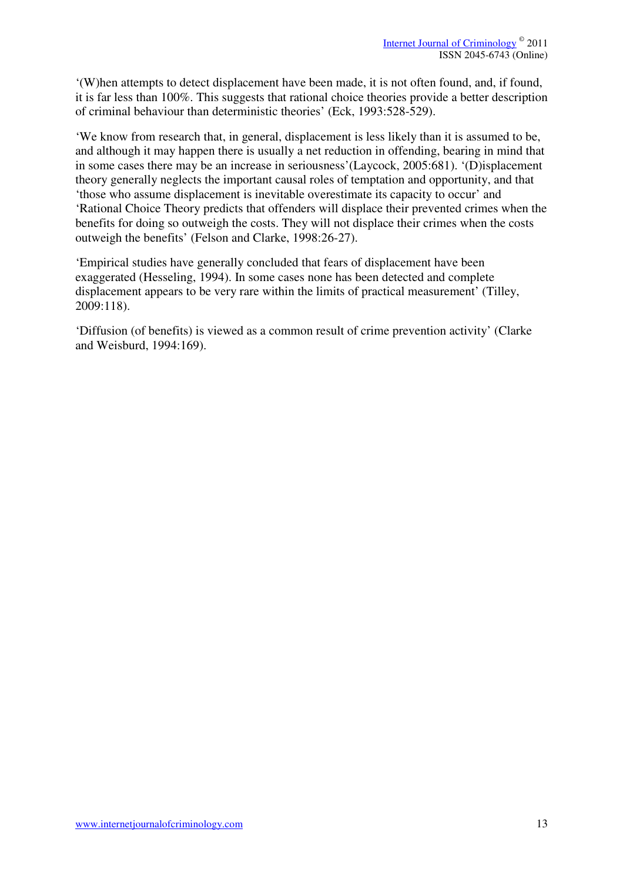'(W)hen attempts to detect displacement have been made, it is not often found, and, if found, it is far less than 100%. This suggests that rational choice theories provide a better description of criminal behaviour than deterministic theories' (Eck, 1993:528-529).

'We know from research that, in general, displacement is less likely than it is assumed to be, and although it may happen there is usually a net reduction in offending, bearing in mind that in some cases there may be an increase in seriousness'(Laycock, 2005:681). '(D)isplacement theory generally neglects the important causal roles of temptation and opportunity, and that 'those who assume displacement is inevitable overestimate its capacity to occur' and 'Rational Choice Theory predicts that offenders will displace their prevented crimes when the benefits for doing so outweigh the costs. They will not displace their crimes when the costs outweigh the benefits' (Felson and Clarke, 1998:26-27).

'Empirical studies have generally concluded that fears of displacement have been exaggerated (Hesseling, 1994). In some cases none has been detected and complete displacement appears to be very rare within the limits of practical measurement' (Tilley, 2009:118).

'Diffusion (of benefits) is viewed as a common result of crime prevention activity' (Clarke and Weisburd, 1994:169).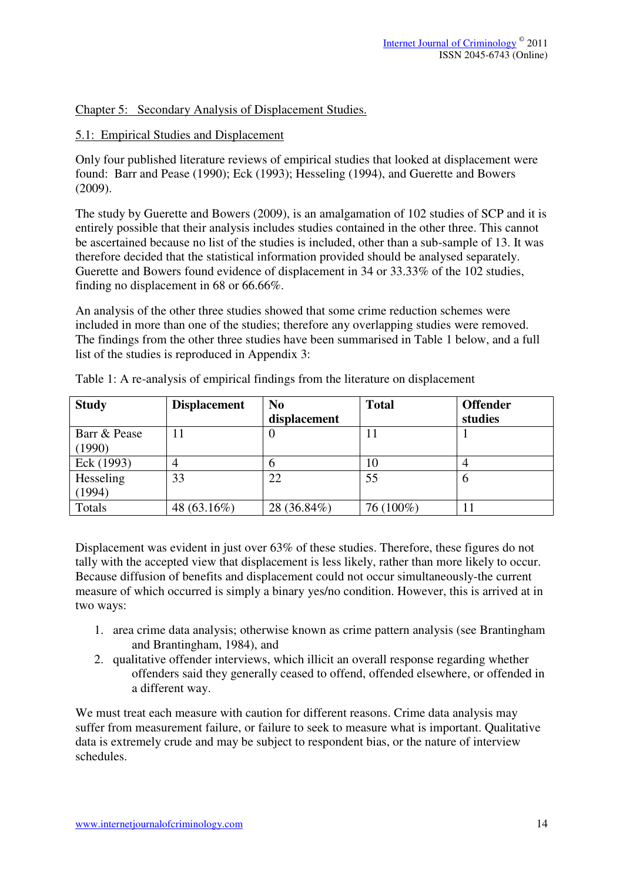#### Chapter 5: Secondary Analysis of Displacement Studies.

#### 5.1: Empirical Studies and Displacement

Only four published literature reviews of empirical studies that looked at displacement were found: Barr and Pease (1990); Eck (1993); Hesseling (1994), and Guerette and Bowers (2009).

The study by Guerette and Bowers (2009), is an amalgamation of 102 studies of SCP and it is entirely possible that their analysis includes studies contained in the other three. This cannot be ascertained because no list of the studies is included, other than a sub-sample of 13. It was therefore decided that the statistical information provided should be analysed separately. Guerette and Bowers found evidence of displacement in 34 or 33.33% of the 102 studies, finding no displacement in 68 or 66.66%.

An analysis of the other three studies showed that some crime reduction schemes were included in more than one of the studies; therefore any overlapping studies were removed. The findings from the other three studies have been summarised in Table 1 below, and a full list of the studies is reproduced in Appendix 3:

| <b>Study</b> | <b>Displacement</b> | N <sub>0</sub> | <b>Total</b> | <b>Offender</b> |
|--------------|---------------------|----------------|--------------|-----------------|
|              |                     | displacement   |              | studies         |
| Barr & Pease |                     | υ              |              |                 |
| (1990)       |                     |                |              |                 |
| Eck (1993)   |                     |                | 10           |                 |
| Hesseling    | 33                  | 22             | 55           | n               |
| (1994)       |                     |                |              |                 |
| Totals       | 48 (63.16%)         | 28 (36.84%)    | 76 (100%)    |                 |

Table 1: A re-analysis of empirical findings from the literature on displacement

Displacement was evident in just over 63% of these studies. Therefore, these figures do not tally with the accepted view that displacement is less likely, rather than more likely to occur. Because diffusion of benefits and displacement could not occur simultaneously-the current measure of which occurred is simply a binary yes/no condition. However, this is arrived at in two ways:

- 1. area crime data analysis; otherwise known as crime pattern analysis (see Brantingham and Brantingham, 1984), and
- 2. qualitative offender interviews, which illicit an overall response regarding whether offenders said they generally ceased to offend, offended elsewhere, or offended in a different way.

We must treat each measure with caution for different reasons. Crime data analysis may suffer from measurement failure, or failure to seek to measure what is important. Qualitative data is extremely crude and may be subject to respondent bias, or the nature of interview schedules.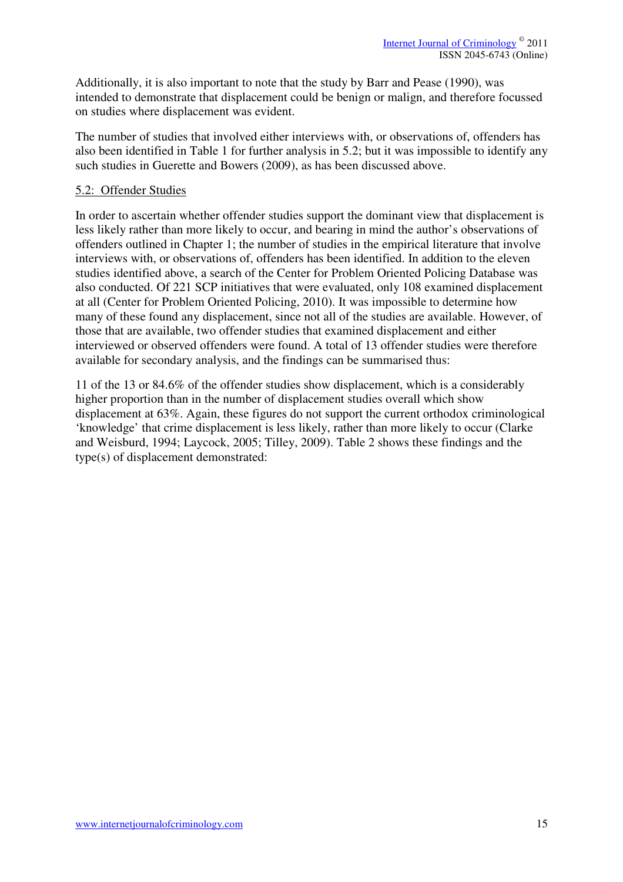Additionally, it is also important to note that the study by Barr and Pease (1990), was intended to demonstrate that displacement could be benign or malign, and therefore focussed on studies where displacement was evident.

The number of studies that involved either interviews with, or observations of, offenders has also been identified in Table 1 for further analysis in 5.2; but it was impossible to identify any such studies in Guerette and Bowers (2009), as has been discussed above.

#### 5.2: Offender Studies

In order to ascertain whether offender studies support the dominant view that displacement is less likely rather than more likely to occur, and bearing in mind the author's observations of offenders outlined in Chapter 1; the number of studies in the empirical literature that involve interviews with, or observations of, offenders has been identified. In addition to the eleven studies identified above, a search of the Center for Problem Oriented Policing Database was also conducted. Of 221 SCP initiatives that were evaluated, only 108 examined displacement at all (Center for Problem Oriented Policing, 2010). It was impossible to determine how many of these found any displacement, since not all of the studies are available. However, of those that are available, two offender studies that examined displacement and either interviewed or observed offenders were found. A total of 13 offender studies were therefore available for secondary analysis, and the findings can be summarised thus:

11 of the 13 or 84.6% of the offender studies show displacement, which is a considerably higher proportion than in the number of displacement studies overall which show displacement at 63%. Again, these figures do not support the current orthodox criminological 'knowledge' that crime displacement is less likely, rather than more likely to occur (Clarke and Weisburd, 1994; Laycock, 2005; Tilley, 2009). Table 2 shows these findings and the type(s) of displacement demonstrated: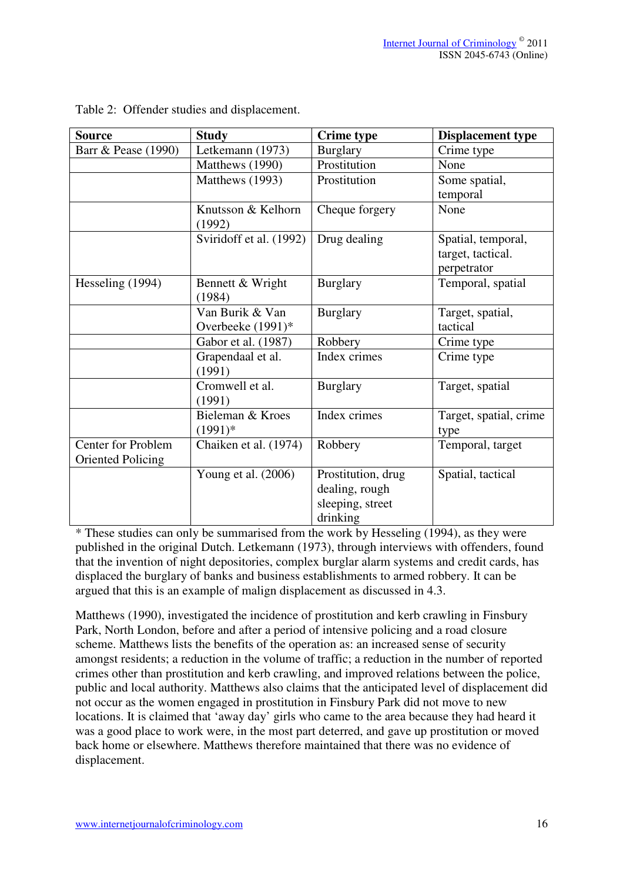| Source                                                | <b>Study</b>                         | <b>Crime type</b>                                                    | <b>Displacement type</b>                               |
|-------------------------------------------------------|--------------------------------------|----------------------------------------------------------------------|--------------------------------------------------------|
| Barr & Pease (1990)                                   | Letkemann (1973)                     | <b>Burglary</b>                                                      | Crime type                                             |
|                                                       | Matthews (1990)                      | Prostitution                                                         | None                                                   |
|                                                       | Matthews (1993)                      | Prostitution                                                         | Some spatial,<br>temporal                              |
|                                                       | Knutsson & Kelhorn<br>(1992)         | Cheque forgery                                                       | None                                                   |
|                                                       | Sviridoff et al. (1992)              | Drug dealing                                                         | Spatial, temporal,<br>target, tactical.<br>perpetrator |
| Hesseling (1994)                                      | Bennett & Wright<br>(1984)           | <b>Burglary</b>                                                      | Temporal, spatial                                      |
|                                                       | Van Burik & Van<br>Overbeeke (1991)* | <b>Burglary</b>                                                      | Target, spatial,<br>tactical                           |
|                                                       | Gabor et al. (1987)                  | Robbery                                                              | Crime type                                             |
|                                                       | Grapendaal et al.<br>(1991)          | Index crimes                                                         | Crime type                                             |
|                                                       | Cromwell et al.<br>(1991)            | <b>Burglary</b>                                                      | Target, spatial                                        |
|                                                       | Bieleman & Kroes<br>$(1991)*$        | Index crimes                                                         | Target, spatial, crime<br>type                         |
| <b>Center for Problem</b><br><b>Oriented Policing</b> | Chaiken et al. (1974)                | Robbery                                                              | Temporal, target                                       |
|                                                       | Young et al. $(2006)$                | Prostitution, drug<br>dealing, rough<br>sleeping, street<br>drinking | Spatial, tactical                                      |

Table 2: Offender studies and displacement.

\* These studies can only be summarised from the work by Hesseling (1994), as they were published in the original Dutch. Letkemann (1973), through interviews with offenders, found that the invention of night depositories, complex burglar alarm systems and credit cards, has displaced the burglary of banks and business establishments to armed robbery. It can be argued that this is an example of malign displacement as discussed in 4.3.

Matthews (1990), investigated the incidence of prostitution and kerb crawling in Finsbury Park, North London, before and after a period of intensive policing and a road closure scheme. Matthews lists the benefits of the operation as: an increased sense of security amongst residents; a reduction in the volume of traffic; a reduction in the number of reported crimes other than prostitution and kerb crawling, and improved relations between the police, public and local authority. Matthews also claims that the anticipated level of displacement did not occur as the women engaged in prostitution in Finsbury Park did not move to new locations. It is claimed that 'away day' girls who came to the area because they had heard it was a good place to work were, in the most part deterred, and gave up prostitution or moved back home or elsewhere. Matthews therefore maintained that there was no evidence of displacement.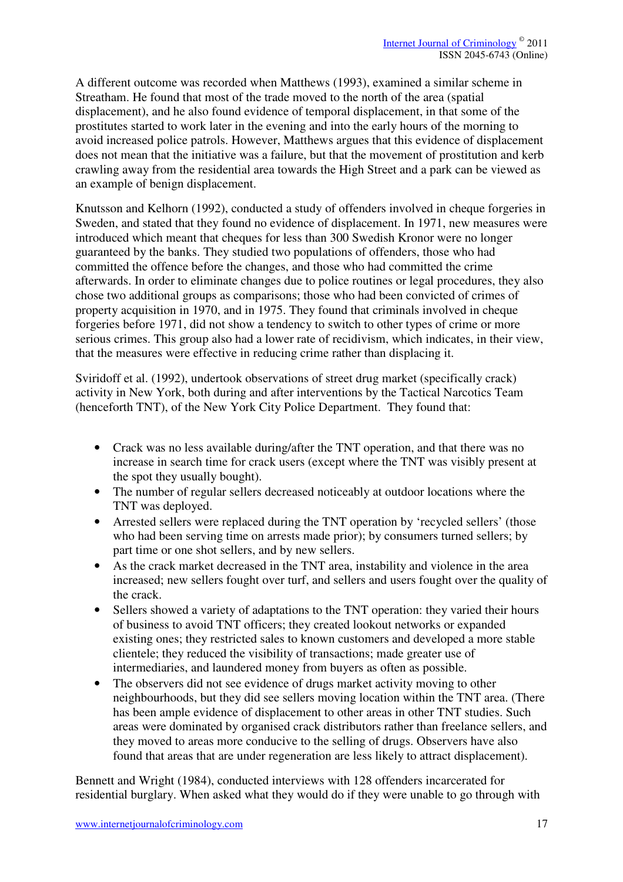A different outcome was recorded when Matthews (1993), examined a similar scheme in Streatham. He found that most of the trade moved to the north of the area (spatial displacement), and he also found evidence of temporal displacement, in that some of the prostitutes started to work later in the evening and into the early hours of the morning to avoid increased police patrols. However, Matthews argues that this evidence of displacement does not mean that the initiative was a failure, but that the movement of prostitution and kerb crawling away from the residential area towards the High Street and a park can be viewed as an example of benign displacement.

Knutsson and Kelhorn (1992), conducted a study of offenders involved in cheque forgeries in Sweden, and stated that they found no evidence of displacement. In 1971, new measures were introduced which meant that cheques for less than 300 Swedish Kronor were no longer guaranteed by the banks. They studied two populations of offenders, those who had committed the offence before the changes, and those who had committed the crime afterwards. In order to eliminate changes due to police routines or legal procedures, they also chose two additional groups as comparisons; those who had been convicted of crimes of property acquisition in 1970, and in 1975. They found that criminals involved in cheque forgeries before 1971, did not show a tendency to switch to other types of crime or more serious crimes. This group also had a lower rate of recidivism, which indicates, in their view, that the measures were effective in reducing crime rather than displacing it.

Sviridoff et al. (1992), undertook observations of street drug market (specifically crack) activity in New York, both during and after interventions by the Tactical Narcotics Team (henceforth TNT), of the New York City Police Department. They found that:

- Crack was no less available during/after the TNT operation, and that there was no increase in search time for crack users (except where the TNT was visibly present at the spot they usually bought).
- The number of regular sellers decreased noticeably at outdoor locations where the TNT was deployed.
- Arrested sellers were replaced during the TNT operation by 'recycled sellers' (those who had been serving time on arrests made prior); by consumers turned sellers; by part time or one shot sellers, and by new sellers.
- As the crack market decreased in the TNT area, instability and violence in the area increased; new sellers fought over turf, and sellers and users fought over the quality of the crack.
- Sellers showed a variety of adaptations to the TNT operation: they varied their hours of business to avoid TNT officers; they created lookout networks or expanded existing ones; they restricted sales to known customers and developed a more stable clientele; they reduced the visibility of transactions; made greater use of intermediaries, and laundered money from buyers as often as possible.
- The observers did not see evidence of drugs market activity moving to other neighbourhoods, but they did see sellers moving location within the TNT area. (There has been ample evidence of displacement to other areas in other TNT studies. Such areas were dominated by organised crack distributors rather than freelance sellers, and they moved to areas more conducive to the selling of drugs. Observers have also found that areas that are under regeneration are less likely to attract displacement).

Bennett and Wright (1984), conducted interviews with 128 offenders incarcerated for residential burglary. When asked what they would do if they were unable to go through with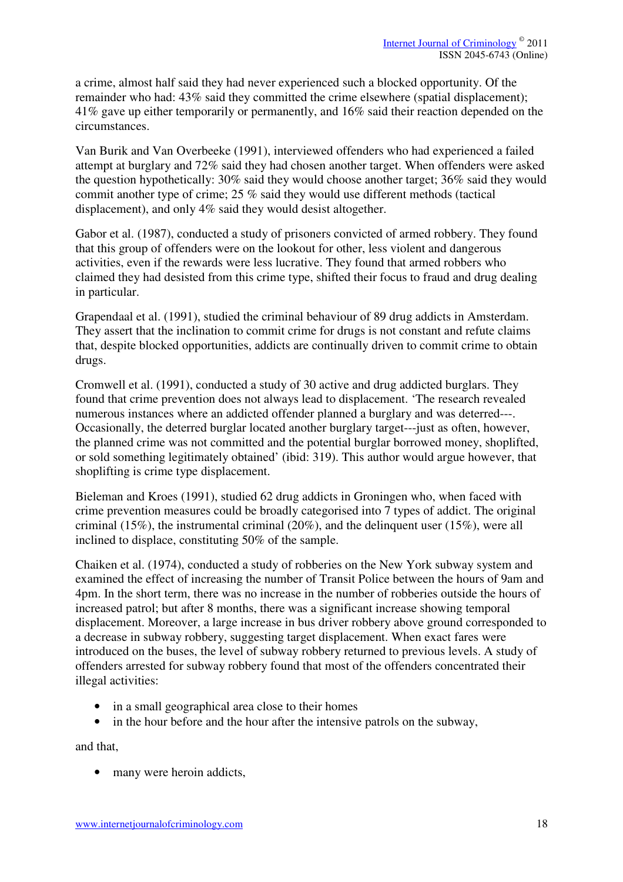a crime, almost half said they had never experienced such a blocked opportunity. Of the remainder who had: 43% said they committed the crime elsewhere (spatial displacement); 41% gave up either temporarily or permanently, and 16% said their reaction depended on the circumstances.

Van Burik and Van Overbeeke (1991), interviewed offenders who had experienced a failed attempt at burglary and 72% said they had chosen another target. When offenders were asked the question hypothetically: 30% said they would choose another target; 36% said they would commit another type of crime; 25 % said they would use different methods (tactical displacement), and only 4% said they would desist altogether.

Gabor et al. (1987), conducted a study of prisoners convicted of armed robbery. They found that this group of offenders were on the lookout for other, less violent and dangerous activities, even if the rewards were less lucrative. They found that armed robbers who claimed they had desisted from this crime type, shifted their focus to fraud and drug dealing in particular.

Grapendaal et al. (1991), studied the criminal behaviour of 89 drug addicts in Amsterdam. They assert that the inclination to commit crime for drugs is not constant and refute claims that, despite blocked opportunities, addicts are continually driven to commit crime to obtain drugs.

Cromwell et al. (1991), conducted a study of 30 active and drug addicted burglars. They found that crime prevention does not always lead to displacement. 'The research revealed numerous instances where an addicted offender planned a burglary and was deterred---. Occasionally, the deterred burglar located another burglary target---just as often, however, the planned crime was not committed and the potential burglar borrowed money, shoplifted, or sold something legitimately obtained' (ibid: 319). This author would argue however, that shoplifting is crime type displacement.

Bieleman and Kroes (1991), studied 62 drug addicts in Groningen who, when faced with crime prevention measures could be broadly categorised into 7 types of addict. The original criminal (15%), the instrumental criminal (20%), and the delinquent user (15%), were all inclined to displace, constituting 50% of the sample.

Chaiken et al. (1974), conducted a study of robberies on the New York subway system and examined the effect of increasing the number of Transit Police between the hours of 9am and 4pm. In the short term, there was no increase in the number of robberies outside the hours of increased patrol; but after 8 months, there was a significant increase showing temporal displacement. Moreover, a large increase in bus driver robbery above ground corresponded to a decrease in subway robbery, suggesting target displacement. When exact fares were introduced on the buses, the level of subway robbery returned to previous levels. A study of offenders arrested for subway robbery found that most of the offenders concentrated their illegal activities:

- in a small geographical area close to their homes
- in the hour before and the hour after the intensive patrols on the subway,

and that,

• many were heroin addicts,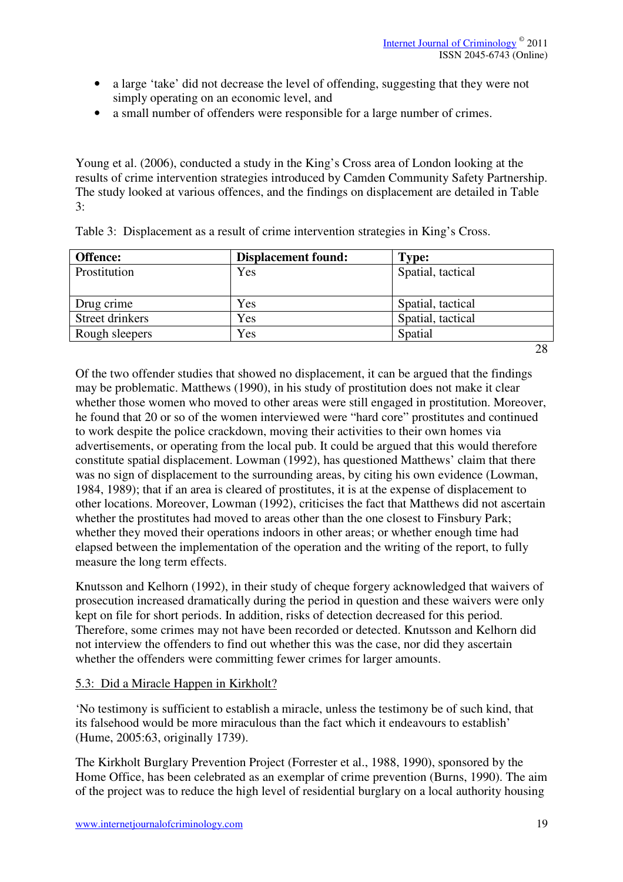- a large 'take' did not decrease the level of offending, suggesting that they were not simply operating on an economic level, and
- a small number of offenders were responsible for a large number of crimes.

Young et al. (2006), conducted a study in the King's Cross area of London looking at the results of crime intervention strategies introduced by Camden Community Safety Partnership. The study looked at various offences, and the findings on displacement are detailed in Table 3:

| Offence:        | <b>Displacement found:</b> | <b>Type:</b>      |
|-----------------|----------------------------|-------------------|
| Prostitution    | Yes                        | Spatial, tactical |
|                 |                            |                   |
| Drug crime      | Yes                        | Spatial, tactical |
| Street drinkers | Yes                        | Spatial, tactical |
| Rough sleepers  | Yes                        | Spatial           |
|                 |                            | 28                |

Table 3: Displacement as a result of crime intervention strategies in King's Cross.

Of the two offender studies that showed no displacement, it can be argued that the findings may be problematic. Matthews (1990), in his study of prostitution does not make it clear whether those women who moved to other areas were still engaged in prostitution. Moreover, he found that 20 or so of the women interviewed were "hard core" prostitutes and continued to work despite the police crackdown, moving their activities to their own homes via advertisements, or operating from the local pub. It could be argued that this would therefore constitute spatial displacement. Lowman (1992), has questioned Matthews' claim that there was no sign of displacement to the surrounding areas, by citing his own evidence (Lowman, 1984, 1989); that if an area is cleared of prostitutes, it is at the expense of displacement to other locations. Moreover, Lowman (1992), criticises the fact that Matthews did not ascertain whether the prostitutes had moved to areas other than the one closest to Finsbury Park; whether they moved their operations indoors in other areas; or whether enough time had elapsed between the implementation of the operation and the writing of the report, to fully measure the long term effects.

Knutsson and Kelhorn (1992), in their study of cheque forgery acknowledged that waivers of prosecution increased dramatically during the period in question and these waivers were only kept on file for short periods. In addition, risks of detection decreased for this period. Therefore, some crimes may not have been recorded or detected. Knutsson and Kelhorn did not interview the offenders to find out whether this was the case, nor did they ascertain whether the offenders were committing fewer crimes for larger amounts.

#### 5.3: Did a Miracle Happen in Kirkholt?

'No testimony is sufficient to establish a miracle, unless the testimony be of such kind, that its falsehood would be more miraculous than the fact which it endeavours to establish' (Hume, 2005:63, originally 1739).

The Kirkholt Burglary Prevention Project (Forrester et al., 1988, 1990), sponsored by the Home Office, has been celebrated as an exemplar of crime prevention (Burns, 1990). The aim of the project was to reduce the high level of residential burglary on a local authority housing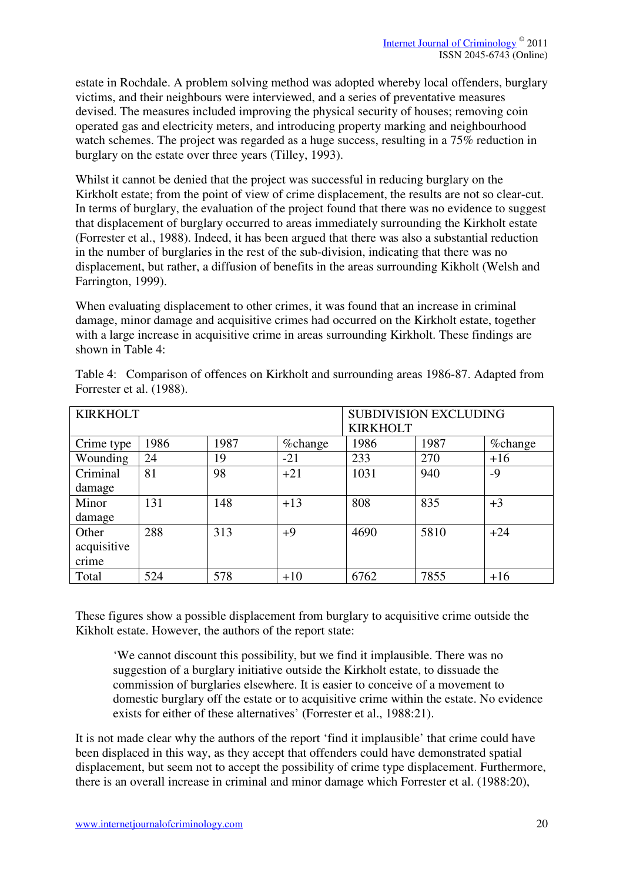estate in Rochdale. A problem solving method was adopted whereby local offenders, burglary victims, and their neighbours were interviewed, and a series of preventative measures devised. The measures included improving the physical security of houses; removing coin operated gas and electricity meters, and introducing property marking and neighbourhood watch schemes. The project was regarded as a huge success, resulting in a 75% reduction in burglary on the estate over three years (Tilley, 1993).

Whilst it cannot be denied that the project was successful in reducing burglary on the Kirkholt estate; from the point of view of crime displacement, the results are not so clear-cut. In terms of burglary, the evaluation of the project found that there was no evidence to suggest that displacement of burglary occurred to areas immediately surrounding the Kirkholt estate (Forrester et al., 1988). Indeed, it has been argued that there was also a substantial reduction in the number of burglaries in the rest of the sub-division, indicating that there was no displacement, but rather, a diffusion of benefits in the areas surrounding Kikholt (Welsh and Farrington, 1999).

When evaluating displacement to other crimes, it was found that an increase in criminal damage, minor damage and acquisitive crimes had occurred on the Kirkholt estate, together with a large increase in acquisitive crime in areas surrounding Kirkholt. These findings are shown in Table 4:

| <b>KIRKHOLT</b> |      | <b>SUBDIVISION EXCLUDING</b> |         |                 |      |         |
|-----------------|------|------------------------------|---------|-----------------|------|---------|
|                 |      |                              |         | <b>KIRKHOLT</b> |      |         |
| Crime type      | 1986 | 1987                         | %change | 1986            | 1987 | %change |
| Wounding        | 24   | 19                           | $-21$   | 233             | 270  | $+16$   |
| Criminal        | 81   | 98                           | $+21$   | 1031            | 940  | -9      |
| damage          |      |                              |         |                 |      |         |
| Minor           | 131  | 148                          | $+13$   | 808             | 835  | $+3$    |
| damage          |      |                              |         |                 |      |         |
| Other           | 288  | 313                          | $+9$    | 4690            | 5810 | $+24$   |
| acquisitive     |      |                              |         |                 |      |         |
| crime           |      |                              |         |                 |      |         |
| Total           | 524  | 578                          | $+10$   | 6762            | 7855 | $+16$   |

Table 4: Comparison of offences on Kirkholt and surrounding areas 1986-87. Adapted from Forrester et al. (1988).

These figures show a possible displacement from burglary to acquisitive crime outside the Kikholt estate. However, the authors of the report state:

'We cannot discount this possibility, but we find it implausible. There was no suggestion of a burglary initiative outside the Kirkholt estate, to dissuade the commission of burglaries elsewhere. It is easier to conceive of a movement to domestic burglary off the estate or to acquisitive crime within the estate. No evidence exists for either of these alternatives' (Forrester et al., 1988:21).

It is not made clear why the authors of the report 'find it implausible' that crime could have been displaced in this way, as they accept that offenders could have demonstrated spatial displacement, but seem not to accept the possibility of crime type displacement. Furthermore, there is an overall increase in criminal and minor damage which Forrester et al. (1988:20),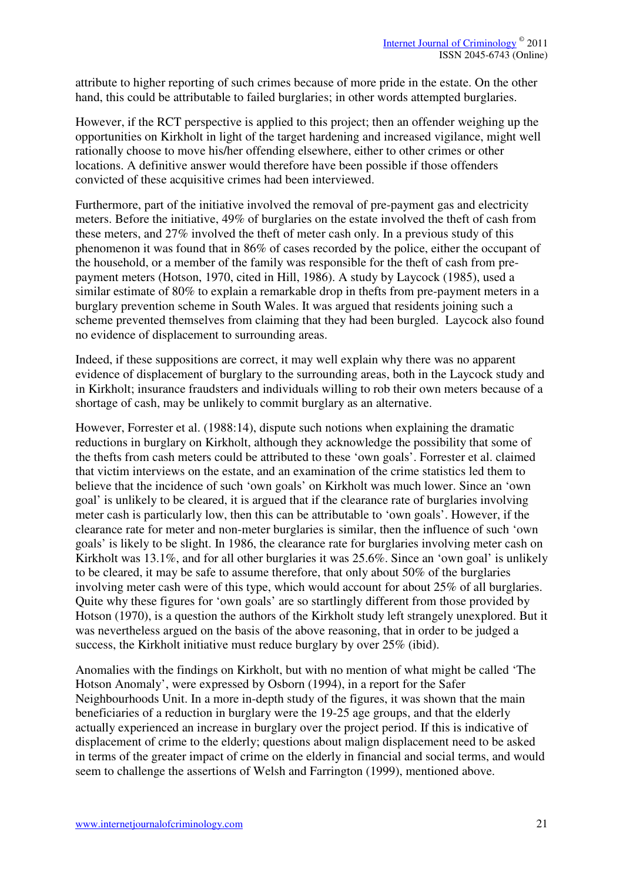attribute to higher reporting of such crimes because of more pride in the estate. On the other hand, this could be attributable to failed burglaries; in other words attempted burglaries.

However, if the RCT perspective is applied to this project; then an offender weighing up the opportunities on Kirkholt in light of the target hardening and increased vigilance, might well rationally choose to move his/her offending elsewhere, either to other crimes or other locations. A definitive answer would therefore have been possible if those offenders convicted of these acquisitive crimes had been interviewed.

Furthermore, part of the initiative involved the removal of pre-payment gas and electricity meters. Before the initiative, 49% of burglaries on the estate involved the theft of cash from these meters, and 27% involved the theft of meter cash only. In a previous study of this phenomenon it was found that in 86% of cases recorded by the police, either the occupant of the household, or a member of the family was responsible for the theft of cash from prepayment meters (Hotson, 1970, cited in Hill, 1986). A study by Laycock (1985), used a similar estimate of 80% to explain a remarkable drop in thefts from pre-payment meters in a burglary prevention scheme in South Wales. It was argued that residents joining such a scheme prevented themselves from claiming that they had been burgled. Laycock also found no evidence of displacement to surrounding areas.

Indeed, if these suppositions are correct, it may well explain why there was no apparent evidence of displacement of burglary to the surrounding areas, both in the Laycock study and in Kirkholt; insurance fraudsters and individuals willing to rob their own meters because of a shortage of cash, may be unlikely to commit burglary as an alternative.

However, Forrester et al. (1988:14), dispute such notions when explaining the dramatic reductions in burglary on Kirkholt, although they acknowledge the possibility that some of the thefts from cash meters could be attributed to these 'own goals'. Forrester et al. claimed that victim interviews on the estate, and an examination of the crime statistics led them to believe that the incidence of such 'own goals' on Kirkholt was much lower. Since an 'own goal' is unlikely to be cleared, it is argued that if the clearance rate of burglaries involving meter cash is particularly low, then this can be attributable to 'own goals'. However, if the clearance rate for meter and non-meter burglaries is similar, then the influence of such 'own goals' is likely to be slight. In 1986, the clearance rate for burglaries involving meter cash on Kirkholt was 13.1%, and for all other burglaries it was 25.6%. Since an 'own goal' is unlikely to be cleared, it may be safe to assume therefore, that only about 50% of the burglaries involving meter cash were of this type, which would account for about 25% of all burglaries. Quite why these figures for 'own goals' are so startlingly different from those provided by Hotson (1970), is a question the authors of the Kirkholt study left strangely unexplored. But it was nevertheless argued on the basis of the above reasoning, that in order to be judged a success, the Kirkholt initiative must reduce burglary by over 25% (ibid).

Anomalies with the findings on Kirkholt, but with no mention of what might be called 'The Hotson Anomaly', were expressed by Osborn (1994), in a report for the Safer Neighbourhoods Unit. In a more in-depth study of the figures, it was shown that the main beneficiaries of a reduction in burglary were the 19-25 age groups, and that the elderly actually experienced an increase in burglary over the project period. If this is indicative of displacement of crime to the elderly; questions about malign displacement need to be asked in terms of the greater impact of crime on the elderly in financial and social terms, and would seem to challenge the assertions of Welsh and Farrington (1999), mentioned above.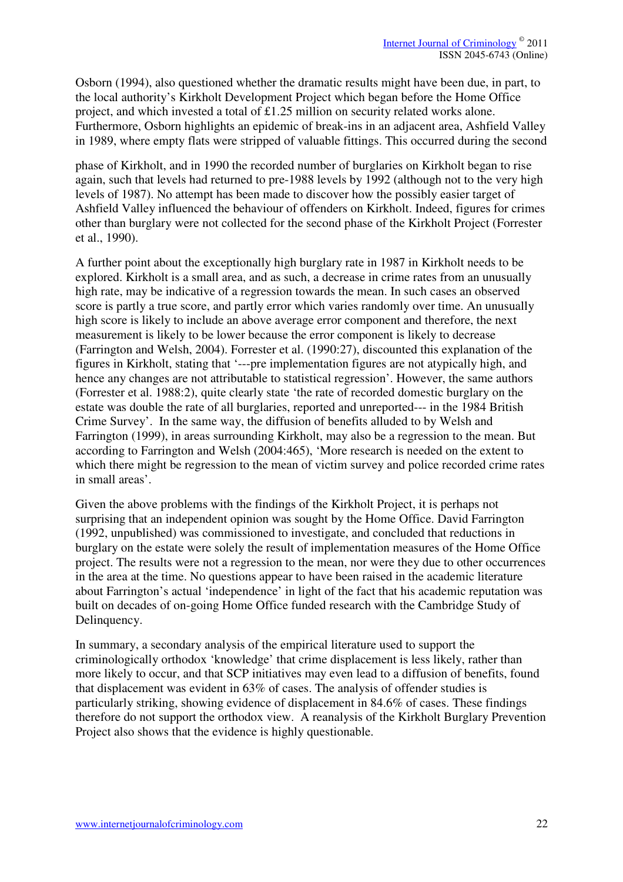Osborn (1994), also questioned whether the dramatic results might have been due, in part, to the local authority's Kirkholt Development Project which began before the Home Office project, and which invested a total of £1.25 million on security related works alone. Furthermore, Osborn highlights an epidemic of break-ins in an adjacent area, Ashfield Valley in 1989, where empty flats were stripped of valuable fittings. This occurred during the second

phase of Kirkholt, and in 1990 the recorded number of burglaries on Kirkholt began to rise again, such that levels had returned to pre-1988 levels by 1992 (although not to the very high levels of 1987). No attempt has been made to discover how the possibly easier target of Ashfield Valley influenced the behaviour of offenders on Kirkholt. Indeed, figures for crimes other than burglary were not collected for the second phase of the Kirkholt Project (Forrester et al., 1990).

A further point about the exceptionally high burglary rate in 1987 in Kirkholt needs to be explored. Kirkholt is a small area, and as such, a decrease in crime rates from an unusually high rate, may be indicative of a regression towards the mean. In such cases an observed score is partly a true score, and partly error which varies randomly over time. An unusually high score is likely to include an above average error component and therefore, the next measurement is likely to be lower because the error component is likely to decrease (Farrington and Welsh, 2004). Forrester et al. (1990:27), discounted this explanation of the figures in Kirkholt, stating that '---pre implementation figures are not atypically high, and hence any changes are not attributable to statistical regression'. However, the same authors (Forrester et al. 1988:2), quite clearly state 'the rate of recorded domestic burglary on the estate was double the rate of all burglaries, reported and unreported--- in the 1984 British Crime Survey'. In the same way, the diffusion of benefits alluded to by Welsh and Farrington (1999), in areas surrounding Kirkholt, may also be a regression to the mean. But according to Farrington and Welsh (2004:465), 'More research is needed on the extent to which there might be regression to the mean of victim survey and police recorded crime rates in small areas'.

Given the above problems with the findings of the Kirkholt Project, it is perhaps not surprising that an independent opinion was sought by the Home Office. David Farrington (1992, unpublished) was commissioned to investigate, and concluded that reductions in burglary on the estate were solely the result of implementation measures of the Home Office project. The results were not a regression to the mean, nor were they due to other occurrences in the area at the time. No questions appear to have been raised in the academic literature about Farrington's actual 'independence' in light of the fact that his academic reputation was built on decades of on-going Home Office funded research with the Cambridge Study of Delinquency.

In summary, a secondary analysis of the empirical literature used to support the criminologically orthodox 'knowledge' that crime displacement is less likely, rather than more likely to occur, and that SCP initiatives may even lead to a diffusion of benefits, found that displacement was evident in 63% of cases. The analysis of offender studies is particularly striking, showing evidence of displacement in 84.6% of cases. These findings therefore do not support the orthodox view. A reanalysis of the Kirkholt Burglary Prevention Project also shows that the evidence is highly questionable.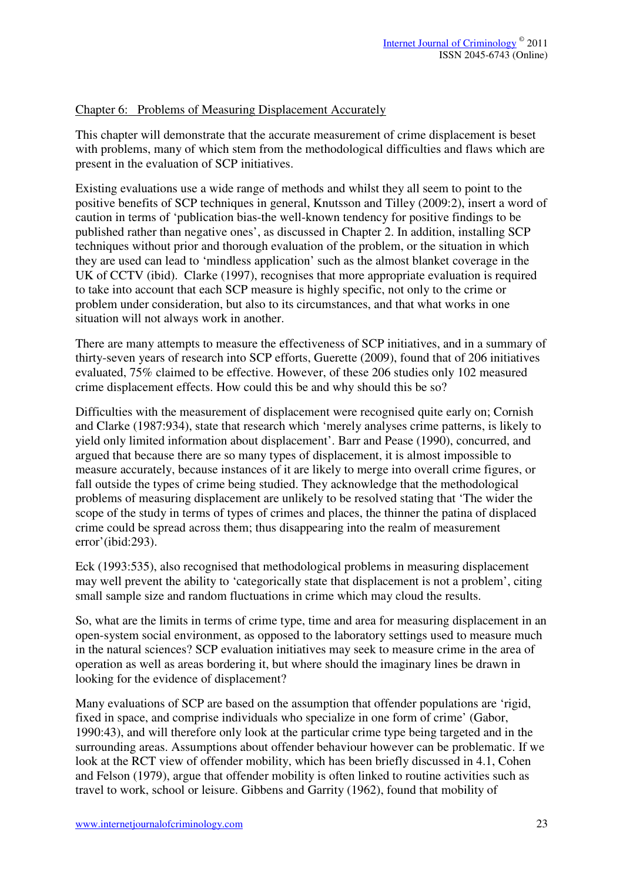#### Chapter 6: Problems of Measuring Displacement Accurately

This chapter will demonstrate that the accurate measurement of crime displacement is beset with problems, many of which stem from the methodological difficulties and flaws which are present in the evaluation of SCP initiatives.

Existing evaluations use a wide range of methods and whilst they all seem to point to the positive benefits of SCP techniques in general, Knutsson and Tilley (2009:2), insert a word of caution in terms of 'publication bias-the well-known tendency for positive findings to be published rather than negative ones', as discussed in Chapter 2. In addition, installing SCP techniques without prior and thorough evaluation of the problem, or the situation in which they are used can lead to 'mindless application' such as the almost blanket coverage in the UK of CCTV (ibid). Clarke (1997), recognises that more appropriate evaluation is required to take into account that each SCP measure is highly specific, not only to the crime or problem under consideration, but also to its circumstances, and that what works in one situation will not always work in another.

There are many attempts to measure the effectiveness of SCP initiatives, and in a summary of thirty-seven years of research into SCP efforts, Guerette (2009), found that of 206 initiatives evaluated, 75% claimed to be effective. However, of these 206 studies only 102 measured crime displacement effects. How could this be and why should this be so?

Difficulties with the measurement of displacement were recognised quite early on; Cornish and Clarke (1987:934), state that research which 'merely analyses crime patterns, is likely to yield only limited information about displacement'. Barr and Pease (1990), concurred, and argued that because there are so many types of displacement, it is almost impossible to measure accurately, because instances of it are likely to merge into overall crime figures, or fall outside the types of crime being studied. They acknowledge that the methodological problems of measuring displacement are unlikely to be resolved stating that 'The wider the scope of the study in terms of types of crimes and places, the thinner the patina of displaced crime could be spread across them; thus disappearing into the realm of measurement error'(ibid:293).

Eck (1993:535), also recognised that methodological problems in measuring displacement may well prevent the ability to 'categorically state that displacement is not a problem', citing small sample size and random fluctuations in crime which may cloud the results.

So, what are the limits in terms of crime type, time and area for measuring displacement in an open-system social environment, as opposed to the laboratory settings used to measure much in the natural sciences? SCP evaluation initiatives may seek to measure crime in the area of operation as well as areas bordering it, but where should the imaginary lines be drawn in looking for the evidence of displacement?

Many evaluations of SCP are based on the assumption that offender populations are 'rigid, fixed in space, and comprise individuals who specialize in one form of crime' (Gabor, 1990:43), and will therefore only look at the particular crime type being targeted and in the surrounding areas. Assumptions about offender behaviour however can be problematic. If we look at the RCT view of offender mobility, which has been briefly discussed in 4.1, Cohen and Felson (1979), argue that offender mobility is often linked to routine activities such as travel to work, school or leisure. Gibbens and Garrity (1962), found that mobility of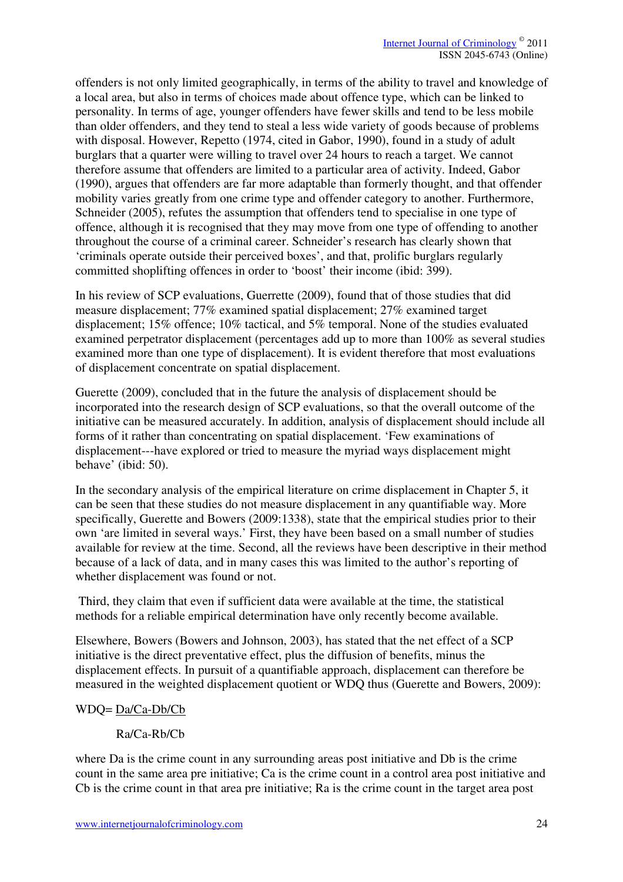offenders is not only limited geographically, in terms of the ability to travel and knowledge of a local area, but also in terms of choices made about offence type, which can be linked to personality. In terms of age, younger offenders have fewer skills and tend to be less mobile than older offenders, and they tend to steal a less wide variety of goods because of problems with disposal. However, Repetto (1974, cited in Gabor, 1990), found in a study of adult burglars that a quarter were willing to travel over 24 hours to reach a target. We cannot therefore assume that offenders are limited to a particular area of activity. Indeed, Gabor (1990), argues that offenders are far more adaptable than formerly thought, and that offender mobility varies greatly from one crime type and offender category to another. Furthermore, Schneider (2005), refutes the assumption that offenders tend to specialise in one type of offence, although it is recognised that they may move from one type of offending to another throughout the course of a criminal career. Schneider's research has clearly shown that 'criminals operate outside their perceived boxes', and that, prolific burglars regularly committed shoplifting offences in order to 'boost' their income (ibid: 399).

In his review of SCP evaluations, Guerrette (2009), found that of those studies that did measure displacement; 77% examined spatial displacement; 27% examined target displacement; 15% offence; 10% tactical, and 5% temporal. None of the studies evaluated examined perpetrator displacement (percentages add up to more than 100% as several studies examined more than one type of displacement). It is evident therefore that most evaluations of displacement concentrate on spatial displacement.

Guerette (2009), concluded that in the future the analysis of displacement should be incorporated into the research design of SCP evaluations, so that the overall outcome of the initiative can be measured accurately. In addition, analysis of displacement should include all forms of it rather than concentrating on spatial displacement. 'Few examinations of displacement---have explored or tried to measure the myriad ways displacement might behave' (ibid: 50).

In the secondary analysis of the empirical literature on crime displacement in Chapter 5, it can be seen that these studies do not measure displacement in any quantifiable way. More specifically, Guerette and Bowers (2009:1338), state that the empirical studies prior to their own 'are limited in several ways.' First, they have been based on a small number of studies available for review at the time. Second, all the reviews have been descriptive in their method because of a lack of data, and in many cases this was limited to the author's reporting of whether displacement was found or not.

 Third, they claim that even if sufficient data were available at the time, the statistical methods for a reliable empirical determination have only recently become available.

Elsewhere, Bowers (Bowers and Johnson, 2003), has stated that the net effect of a SCP initiative is the direct preventative effect, plus the diffusion of benefits, minus the displacement effects. In pursuit of a quantifiable approach, displacement can therefore be measured in the weighted displacement quotient or WDQ thus (Guerette and Bowers, 2009):

#### WDQ= Da/Ca-Db/Cb

# Ra/Ca-Rb/Cb

where Da is the crime count in any surrounding areas post initiative and Db is the crime count in the same area pre initiative; Ca is the crime count in a control area post initiative and Cb is the crime count in that area pre initiative; Ra is the crime count in the target area post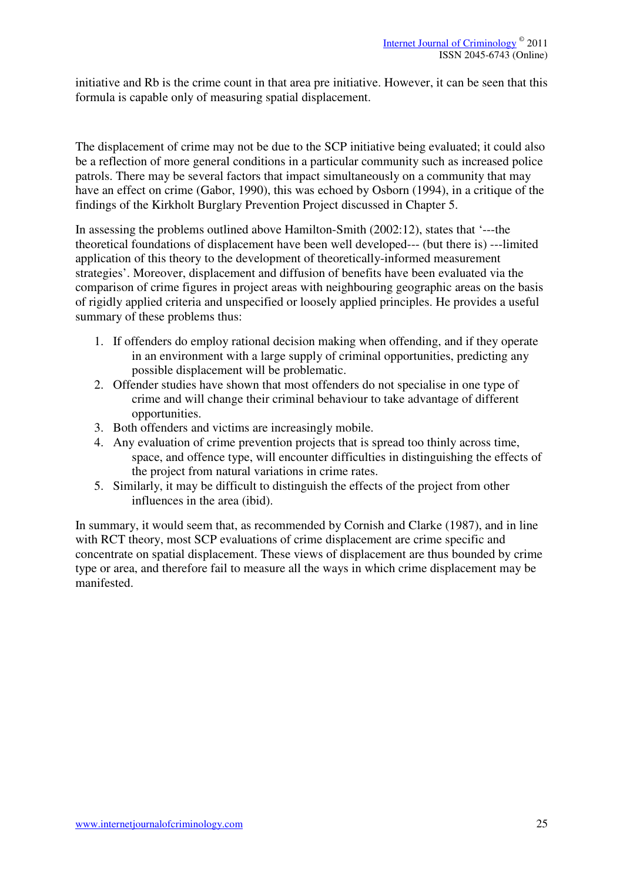initiative and Rb is the crime count in that area pre initiative. However, it can be seen that this formula is capable only of measuring spatial displacement.

The displacement of crime may not be due to the SCP initiative being evaluated; it could also be a reflection of more general conditions in a particular community such as increased police patrols. There may be several factors that impact simultaneously on a community that may have an effect on crime (Gabor, 1990), this was echoed by Osborn (1994), in a critique of the findings of the Kirkholt Burglary Prevention Project discussed in Chapter 5.

In assessing the problems outlined above Hamilton-Smith (2002:12), states that '---the theoretical foundations of displacement have been well developed--- (but there is) ---limited application of this theory to the development of theoretically-informed measurement strategies'. Moreover, displacement and diffusion of benefits have been evaluated via the comparison of crime figures in project areas with neighbouring geographic areas on the basis of rigidly applied criteria and unspecified or loosely applied principles. He provides a useful summary of these problems thus:

- 1. If offenders do employ rational decision making when offending, and if they operate in an environment with a large supply of criminal opportunities, predicting any possible displacement will be problematic.
- 2. Offender studies have shown that most offenders do not specialise in one type of crime and will change their criminal behaviour to take advantage of different opportunities.
- 3. Both offenders and victims are increasingly mobile.
- 4. Any evaluation of crime prevention projects that is spread too thinly across time, space, and offence type, will encounter difficulties in distinguishing the effects of the project from natural variations in crime rates.
- 5. Similarly, it may be difficult to distinguish the effects of the project from other influences in the area (ibid).

In summary, it would seem that, as recommended by Cornish and Clarke (1987), and in line with RCT theory, most SCP evaluations of crime displacement are crime specific and concentrate on spatial displacement. These views of displacement are thus bounded by crime type or area, and therefore fail to measure all the ways in which crime displacement may be manifested.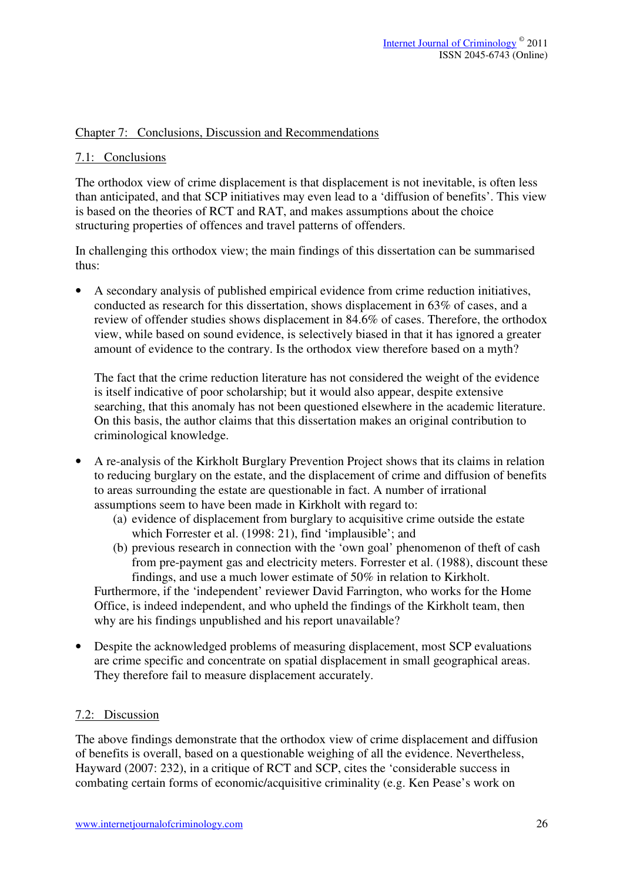#### Chapter 7: Conclusions, Discussion and Recommendations

#### 7.1: Conclusions

The orthodox view of crime displacement is that displacement is not inevitable, is often less than anticipated, and that SCP initiatives may even lead to a 'diffusion of benefits'. This view is based on the theories of RCT and RAT, and makes assumptions about the choice structuring properties of offences and travel patterns of offenders.

In challenging this orthodox view; the main findings of this dissertation can be summarised thus:

• A secondary analysis of published empirical evidence from crime reduction initiatives, conducted as research for this dissertation, shows displacement in 63% of cases, and a review of offender studies shows displacement in 84.6% of cases. Therefore, the orthodox view, while based on sound evidence, is selectively biased in that it has ignored a greater amount of evidence to the contrary. Is the orthodox view therefore based on a myth?

The fact that the crime reduction literature has not considered the weight of the evidence is itself indicative of poor scholarship; but it would also appear, despite extensive searching, that this anomaly has not been questioned elsewhere in the academic literature. On this basis, the author claims that this dissertation makes an original contribution to criminological knowledge.

- A re-analysis of the Kirkholt Burglary Prevention Project shows that its claims in relation to reducing burglary on the estate, and the displacement of crime and diffusion of benefits to areas surrounding the estate are questionable in fact. A number of irrational assumptions seem to have been made in Kirkholt with regard to:
	- (a) evidence of displacement from burglary to acquisitive crime outside the estate which Forrester et al. (1998: 21), find 'implausible'; and
	- (b) previous research in connection with the 'own goal' phenomenon of theft of cash from pre-payment gas and electricity meters. Forrester et al. (1988), discount these findings, and use a much lower estimate of 50% in relation to Kirkholt.

Furthermore, if the 'independent' reviewer David Farrington, who works for the Home Office, is indeed independent, and who upheld the findings of the Kirkholt team, then why are his findings unpublished and his report unavailable?

• Despite the acknowledged problems of measuring displacement, most SCP evaluations are crime specific and concentrate on spatial displacement in small geographical areas. They therefore fail to measure displacement accurately.

#### 7.2: Discussion

The above findings demonstrate that the orthodox view of crime displacement and diffusion of benefits is overall, based on a questionable weighing of all the evidence. Nevertheless, Hayward (2007: 232), in a critique of RCT and SCP, cites the 'considerable success in combating certain forms of economic/acquisitive criminality (e.g. Ken Pease's work on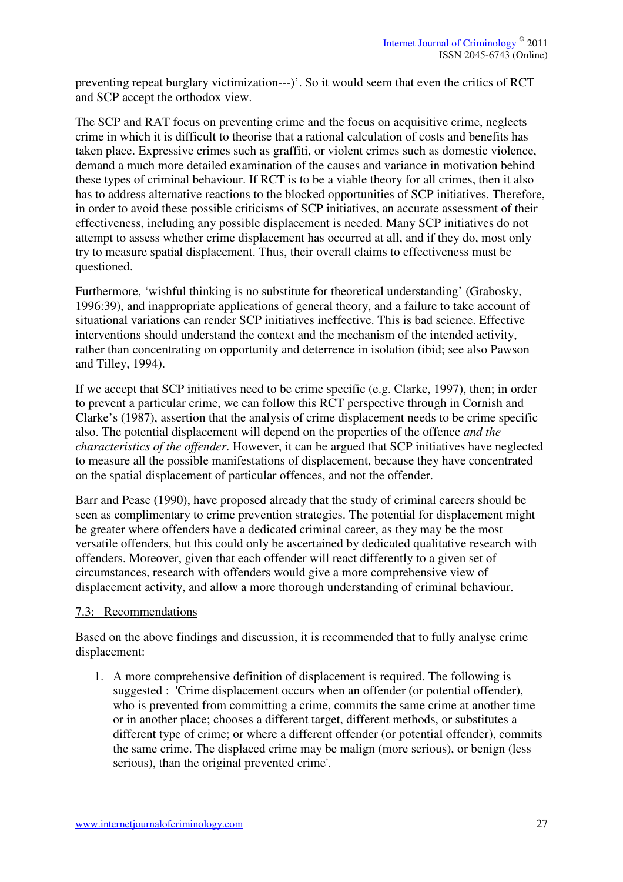preventing repeat burglary victimization---)'. So it would seem that even the critics of RCT and SCP accept the orthodox view.

The SCP and RAT focus on preventing crime and the focus on acquisitive crime, neglects crime in which it is difficult to theorise that a rational calculation of costs and benefits has taken place. Expressive crimes such as graffiti, or violent crimes such as domestic violence, demand a much more detailed examination of the causes and variance in motivation behind these types of criminal behaviour. If RCT is to be a viable theory for all crimes, then it also has to address alternative reactions to the blocked opportunities of SCP initiatives. Therefore, in order to avoid these possible criticisms of SCP initiatives, an accurate assessment of their effectiveness, including any possible displacement is needed. Many SCP initiatives do not attempt to assess whether crime displacement has occurred at all, and if they do, most only try to measure spatial displacement. Thus, their overall claims to effectiveness must be questioned.

Furthermore, 'wishful thinking is no substitute for theoretical understanding' (Grabosky, 1996:39), and inappropriate applications of general theory, and a failure to take account of situational variations can render SCP initiatives ineffective. This is bad science. Effective interventions should understand the context and the mechanism of the intended activity, rather than concentrating on opportunity and deterrence in isolation (ibid; see also Pawson and Tilley, 1994).

If we accept that SCP initiatives need to be crime specific (e.g. Clarke, 1997), then; in order to prevent a particular crime, we can follow this RCT perspective through in Cornish and Clarke's (1987), assertion that the analysis of crime displacement needs to be crime specific also. The potential displacement will depend on the properties of the offence *and the characteristics of the offender*. However, it can be argued that SCP initiatives have neglected to measure all the possible manifestations of displacement, because they have concentrated on the spatial displacement of particular offences, and not the offender.

Barr and Pease (1990), have proposed already that the study of criminal careers should be seen as complimentary to crime prevention strategies. The potential for displacement might be greater where offenders have a dedicated criminal career, as they may be the most versatile offenders, but this could only be ascertained by dedicated qualitative research with offenders. Moreover, given that each offender will react differently to a given set of circumstances, research with offenders would give a more comprehensive view of displacement activity, and allow a more thorough understanding of criminal behaviour.

#### 7.3: Recommendations

Based on the above findings and discussion, it is recommended that to fully analyse crime displacement:

1. A more comprehensive definition of displacement is required. The following is suggested : 'Crime displacement occurs when an offender (or potential offender), who is prevented from committing a crime, commits the same crime at another time or in another place; chooses a different target, different methods, or substitutes a different type of crime; or where a different offender (or potential offender), commits the same crime. The displaced crime may be malign (more serious), or benign (less serious), than the original prevented crime'.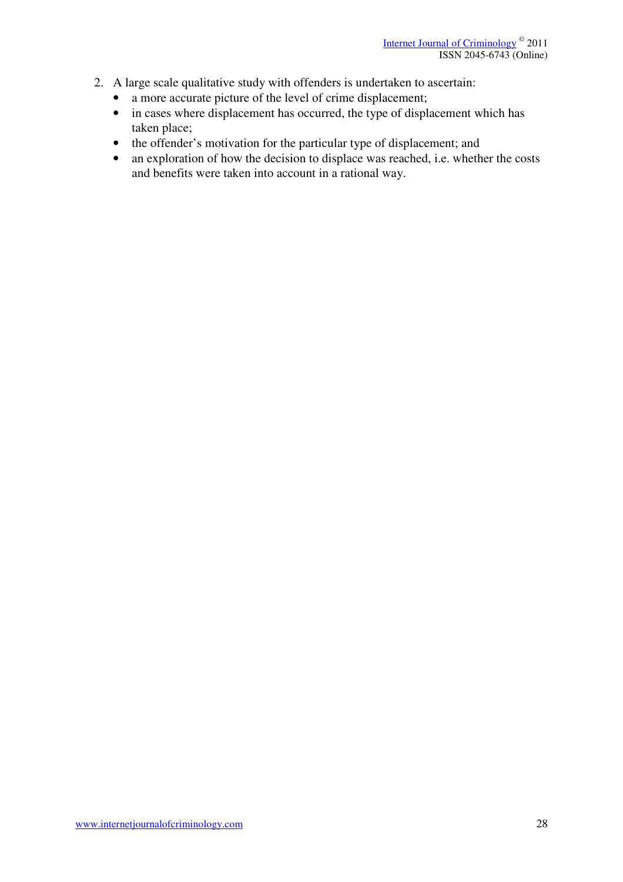- 2. A large scale qualitative study with offenders is undertaken to ascertain:
	- a more accurate picture of the level of crime displacement;
	- in cases where displacement has occurred, the type of displacement which has taken place;
	- the offender's motivation for the particular type of displacement; and
	- an exploration of how the decision to displace was reached, i.e. whether the costs and benefits were taken into account in a rational way.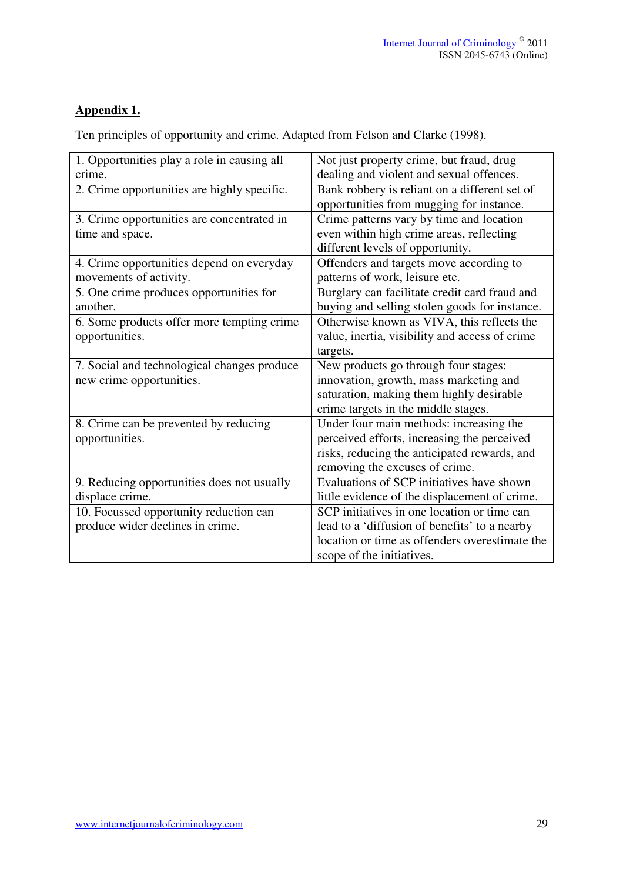# **Appendix 1.**

Ten principles of opportunity and crime. Adapted from Felson and Clarke (1998).

| 1. Opportunities play a role in causing all | Not just property crime, but fraud, drug       |
|---------------------------------------------|------------------------------------------------|
| crime.                                      | dealing and violent and sexual offences.       |
| 2. Crime opportunities are highly specific. | Bank robbery is reliant on a different set of  |
|                                             | opportunities from mugging for instance.       |
| 3. Crime opportunities are concentrated in  | Crime patterns vary by time and location       |
| time and space.                             | even within high crime areas, reflecting       |
|                                             | different levels of opportunity.               |
| 4. Crime opportunities depend on everyday   | Offenders and targets move according to        |
| movements of activity.                      | patterns of work, leisure etc.                 |
| 5. One crime produces opportunities for     | Burglary can facilitate credit card fraud and  |
| another.                                    | buying and selling stolen goods for instance.  |
| 6. Some products offer more tempting crime  | Otherwise known as VIVA, this reflects the     |
| opportunities.                              | value, inertia, visibility and access of crime |
|                                             | targets.                                       |
| 7. Social and technological changes produce | New products go through four stages:           |
| new crime opportunities.                    | innovation, growth, mass marketing and         |
|                                             | saturation, making them highly desirable       |
|                                             | crime targets in the middle stages.            |
| 8. Crime can be prevented by reducing       | Under four main methods: increasing the        |
| opportunities.                              | perceived efforts, increasing the perceived    |
|                                             | risks, reducing the anticipated rewards, and   |
|                                             | removing the excuses of crime.                 |
| 9. Reducing opportunities does not usually  | Evaluations of SCP initiatives have shown      |
| displace crime.                             | little evidence of the displacement of crime.  |
| 10. Focussed opportunity reduction can      | SCP initiatives in one location or time can    |
| produce wider declines in crime.            | lead to a 'diffusion of benefits' to a nearby  |
|                                             | location or time as offenders overestimate the |
|                                             | scope of the initiatives.                      |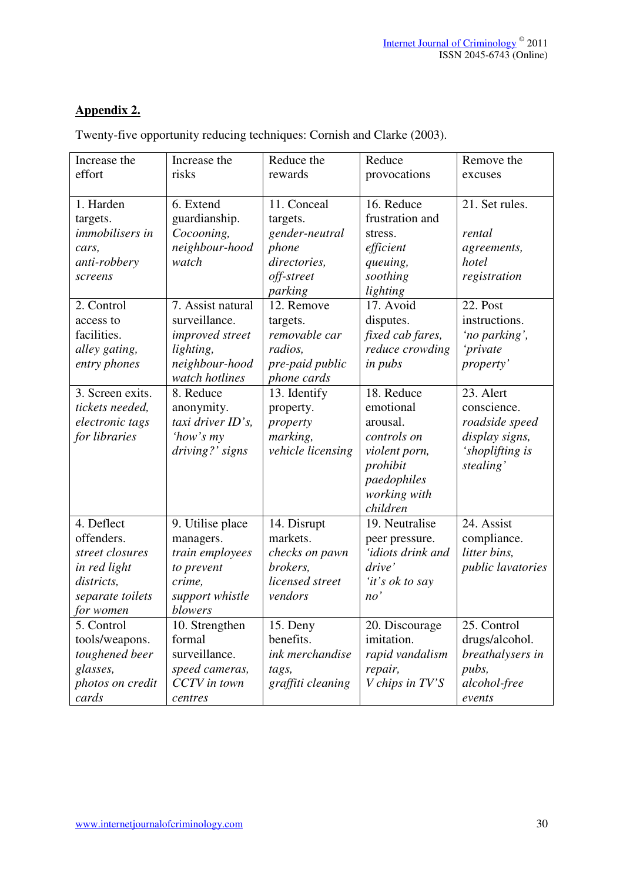# **Appendix 2.**

| Increase the                                                                                               | Increase the                                                                                           | Reduce the                                                                                  | Reduce                                                                                                                     | Remove the                                                                                         |
|------------------------------------------------------------------------------------------------------------|--------------------------------------------------------------------------------------------------------|---------------------------------------------------------------------------------------------|----------------------------------------------------------------------------------------------------------------------------|----------------------------------------------------------------------------------------------------|
| effort                                                                                                     | risks                                                                                                  | rewards                                                                                     | provocations                                                                                                               | excuses                                                                                            |
| 1. Harden<br>targets.<br><i>immobilisers in</i><br>cars,<br>anti-robbery<br>screens                        | 6. Extend<br>guardianship.<br>Cocooning,<br>neighbour-hood<br>watch                                    | 11. Conceal<br>targets.<br>gender-neutral<br>phone<br>directories,<br>off-street<br>parking | 16. Reduce<br>frustration and<br>stress.<br>efficient<br>queuing,<br>soothing<br>lighting                                  | 21. Set rules.<br>rental<br>agreements,<br>hotel<br>registration                                   |
| 2. Control<br>access to<br>facilities.<br>alley gating,<br>entry phones                                    | 7. Assist natural<br>surveillance.<br>improved street<br>lighting,<br>neighbour-hood                   | 12. Remove<br>targets.<br>removable car<br>radios,<br>pre-paid public                       | 17. Avoid<br>disputes.<br>fixed cab fares,<br>reduce crowding<br><i>in pubs</i>                                            | 22. Post<br>instructions.<br>'no parking',<br>'private<br>property'                                |
| 3. Screen exits.<br>tickets needed,<br>electronic tags<br>for libraries                                    | watch hotlines<br>8. Reduce<br>anonymity.<br>taxi driver ID's,<br>'how's my<br>driving?' signs         | phone cards<br>13. Identify<br>property.<br>property<br>marking,<br>vehicle licensing       | 18. Reduce<br>emotional<br>arousal.<br>controls on<br>violent porn,<br>prohibit<br>paedophiles<br>working with<br>children | 23. Alert<br>conscience.<br>roadside speed<br>display signs,<br>'shoplifting is<br>stealing'       |
| 4. Deflect<br>offenders.<br>street closures<br>in red light<br>districts,<br>separate toilets<br>for women | 9. Utilise place<br>managers.<br>train employees<br>to prevent<br>crime,<br>support whistle<br>blowers | 14. Disrupt<br>markets.<br>checks on pawn<br>brokers,<br>licensed street<br>vendors         | 19. Neutralise<br>peer pressure.<br>'idiots drink and<br>drive'<br>'it's ok to say<br>no'                                  | 24. Assist<br>compliance.<br>litter bins,<br><i>public lavatories</i>                              |
| 5. Control<br>tools/weapons.<br>toughened beer<br>glasses,<br>photos on credit<br>cards                    | 10. Strengthen<br>formal<br>surveillance.<br>speed cameras,<br>CCTV in town<br>centres                 | 15. Deny<br>benefits.<br>ink merchandise<br>tags,<br>graffiti cleaning                      | 20. Discourage<br>imitation.<br>rapid vandalism<br>repair,<br>V chips in TV'S                                              | $\overline{25}$ . Control<br>drugs/alcohol.<br>breathalysers in<br>pubs,<br>alcohol-free<br>events |

Twenty-five opportunity reducing techniques: Cornish and Clarke (2003).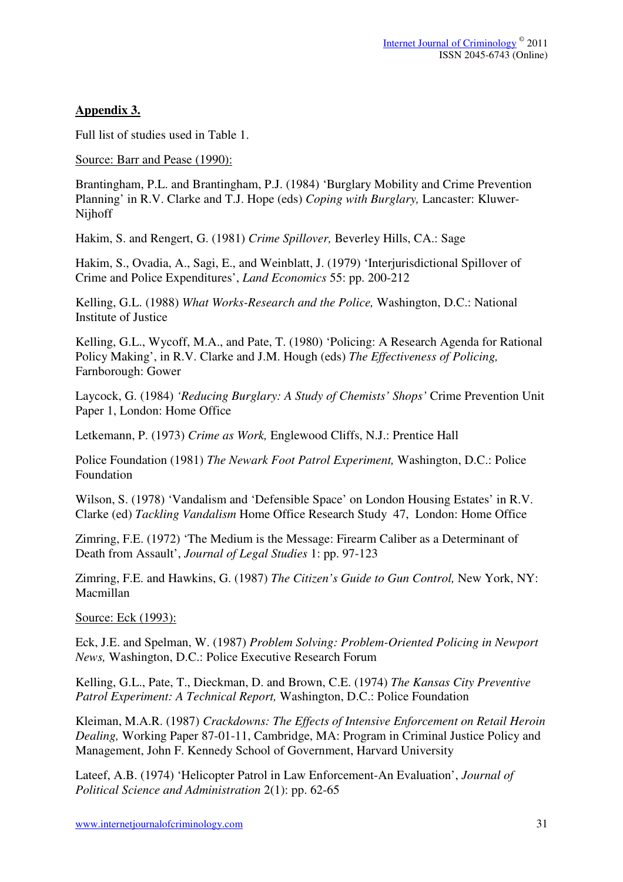# **Appendix 3.**

Full list of studies used in Table 1.

Source: Barr and Pease (1990):

Brantingham, P.L. and Brantingham, P.J. (1984) 'Burglary Mobility and Crime Prevention Planning' in R.V. Clarke and T.J. Hope (eds) *Coping with Burglary,* Lancaster: Kluwer-Nijhoff

Hakim, S. and Rengert, G. (1981) *Crime Spillover,* Beverley Hills, CA.: Sage

Hakim, S., Ovadia, A., Sagi, E., and Weinblatt, J. (1979) 'Interjurisdictional Spillover of Crime and Police Expenditures', *Land Economics* 55: pp. 200-212

Kelling, G.L. (1988) *What Works-Research and the Police,* Washington, D.C.: National Institute of Justice

Kelling, G.L., Wycoff, M.A., and Pate, T. (1980) 'Policing: A Research Agenda for Rational Policy Making', in R.V. Clarke and J.M. Hough (eds) *The Effectiveness of Policing,*  Farnborough: Gower

Laycock, G. (1984) *'Reducing Burglary: A Study of Chemists' Shops'* Crime Prevention Unit Paper 1, London: Home Office

Letkemann, P. (1973) *Crime as Work,* Englewood Cliffs, N.J.: Prentice Hall

Police Foundation (1981) *The Newark Foot Patrol Experiment,* Washington, D.C.: Police Foundation

Wilson, S. (1978) 'Vandalism and 'Defensible Space' on London Housing Estates' in R.V. Clarke (ed) *Tackling Vandalism* Home Office Research Study 47, London: Home Office

Zimring, F.E. (1972) 'The Medium is the Message: Firearm Caliber as a Determinant of Death from Assault', *Journal of Legal Studies* 1: pp. 97-123

Zimring, F.E. and Hawkins, G. (1987) *The Citizen's Guide to Gun Control,* New York, NY: Macmillan

Source: Eck (1993):

Eck, J.E. and Spelman, W. (1987) *Problem Solving: Problem-Oriented Policing in Newport News,* Washington, D.C.: Police Executive Research Forum

Kelling, G.L., Pate, T., Dieckman, D. and Brown, C.E. (1974) *The Kansas City Preventive Patrol Experiment: A Technical Report,* Washington, D.C.: Police Foundation

Kleiman, M.A.R. (1987) *Crackdowns: The Effects of Intensive Enforcement on Retail Heroin Dealing,* Working Paper 87-01-11, Cambridge, MA: Program in Criminal Justice Policy and Management, John F. Kennedy School of Government, Harvard University

Lateef, A.B. (1974) 'Helicopter Patrol in Law Enforcement-An Evaluation', *Journal of Political Science and Administration* 2(1): pp. 62-65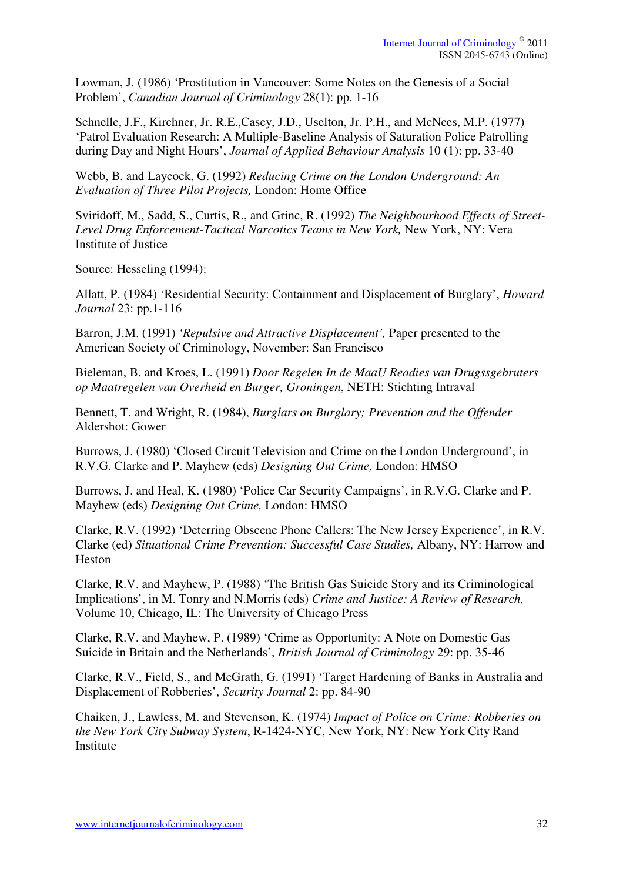Lowman, J. (1986) 'Prostitution in Vancouver: Some Notes on the Genesis of a Social Problem', *Canadian Journal of Criminology* 28(1): pp. 1-16

Schnelle, J.F., Kirchner, Jr. R.E.,Casey, J.D., Uselton, Jr. P.H., and McNees, M.P. (1977) 'Patrol Evaluation Research: A Multiple-Baseline Analysis of Saturation Police Patrolling during Day and Night Hours', *Journal of Applied Behaviour Analysis* 10 (1): pp. 33-40

Webb, B. and Laycock, G. (1992) *Reducing Crime on the London Underground: An Evaluation of Three Pilot Projects,* London: Home Office

Sviridoff, M., Sadd, S., Curtis, R., and Grinc, R. (1992) *The Neighbourhood Effects of Street-Level Drug Enforcement-Tactical Narcotics Teams in New York,* New York, NY: Vera Institute of Justice

Source: Hesseling (1994):

Allatt, P. (1984) 'Residential Security: Containment and Displacement of Burglary', *Howard Journal* 23: pp.1-116

Barron, J.M. (1991) *'Repulsive and Attractive Displacement',* Paper presented to the American Society of Criminology, November: San Francisco

Bieleman, B. and Kroes, L. (1991) *Door Regelen In de MaaU Readies van Drugssgebruters op Maatregelen van Overheid en Burger, Groningen*, NETH: Stichting Intraval

Bennett, T. and Wright, R. (1984), *Burglars on Burglary; Prevention and the Offender* Aldershot: Gower

Burrows, J. (1980) 'Closed Circuit Television and Crime on the London Underground', in R.V.G. Clarke and P. Mayhew (eds) *Designing Out Crime,* London: HMSO

Burrows, J. and Heal, K. (1980) 'Police Car Security Campaigns', in R.V.G. Clarke and P. Mayhew (eds) *Designing Out Crime,* London: HMSO

Clarke, R.V. (1992) 'Deterring Obscene Phone Callers: The New Jersey Experience', in R.V. Clarke (ed) *Situational Crime Prevention: Successful Case Studies,* Albany, NY: Harrow and Heston

Clarke, R.V. and Mayhew, P. (1988) 'The British Gas Suicide Story and its Criminological Implications', in M. Tonry and N.Morris (eds) *Crime and Justice: A Review of Research,*  Volume 10, Chicago, IL: The University of Chicago Press

Clarke, R.V. and Mayhew, P. (1989) 'Crime as Opportunity: A Note on Domestic Gas Suicide in Britain and the Netherlands', *British Journal of Criminology* 29: pp. 35-46

Clarke, R.V., Field, S., and McGrath, G. (1991) 'Target Hardening of Banks in Australia and Displacement of Robberies', *Security Journal* 2: pp. 84-90

Chaiken, J., Lawless, M. and Stevenson, K. (1974) *Impact of Police on Crime: Robberies on the New York City Subway System*, R-1424-NYC, New York, NY: New York City Rand Institute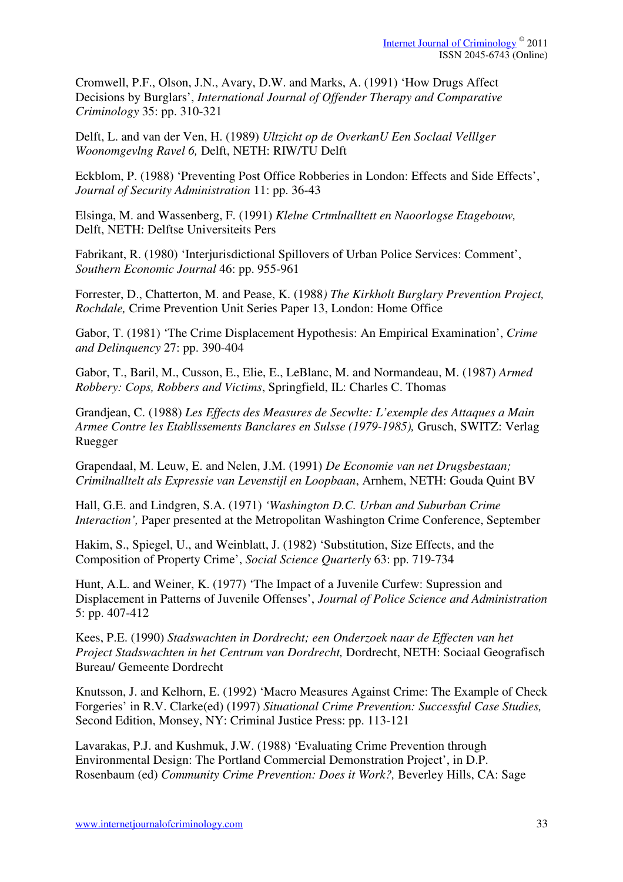Cromwell, P.F., Olson, J.N., Avary, D.W. and Marks, A. (1991) 'How Drugs Affect Decisions by Burglars', *International Journal of Offender Therapy and Comparative Criminology* 35: pp. 310-321

Delft, L. and van der Ven, H. (1989) *Ultzicht op de OverkanU Een Soclaal Velllger Woonomgevlng Ravel 6,* Delft, NETH: RIW/TU Delft

Eckblom, P. (1988) 'Preventing Post Office Robberies in London: Effects and Side Effects', *Journal of Security Administration* 11: pp. 36-43

Elsinga, M. and Wassenberg, F. (1991) *Klelne Crtmlnalltett en Naoorlogse Etagebouw,*  Delft, NETH: Delftse Universiteits Pers

Fabrikant, R. (1980) 'Interjurisdictional Spillovers of Urban Police Services: Comment', *Southern Economic Journal* 46: pp. 955-961

Forrester, D., Chatterton, M. and Pease, K. (1988*) The Kirkholt Burglary Prevention Project, Rochdale,* Crime Prevention Unit Series Paper 13, London: Home Office

Gabor, T. (1981) 'The Crime Displacement Hypothesis: An Empirical Examination', *Crime and Delinquency* 27: pp. 390-404

Gabor, T., Baril, M., Cusson, E., Elie, E., LeBlanc, M. and Normandeau, M. (1987) *Armed Robbery: Cops, Robbers and Victims*, Springfield, IL: Charles C. Thomas

Grandjean, C. (1988) *Les Effects des Measures de Secwlte: L'exemple des Attaques a Main Armee Contre les Etabllssements Banclares en Sulsse (1979-1985),* Grusch, SWITZ: Verlag Ruegger

Grapendaal, M. Leuw, E. and Nelen, J.M. (1991) *De Economie van net Drugsbestaan; Crimilnalltelt als Expressie van Levenstijl en Loopbaan*, Arnhem, NETH: Gouda Quint BV

Hall, G.E. and Lindgren, S.A. (1971) *'Washington D.C. Urban and Suburban Crime Interaction',* Paper presented at the Metropolitan Washington Crime Conference, September

Hakim, S., Spiegel, U., and Weinblatt, J. (1982) 'Substitution, Size Effects, and the Composition of Property Crime', *Social Science Quarterly* 63: pp. 719-734

Hunt, A.L. and Weiner, K. (1977) 'The Impact of a Juvenile Curfew: Supression and Displacement in Patterns of Juvenile Offenses', *Journal of Police Science and Administration*  5: pp. 407-412

Kees, P.E. (1990) *Stadswachten in Dordrecht; een Onderzoek naar de Effecten van het Project Stadswachten in het Centrum van Dordrecht,* Dordrecht, NETH: Sociaal Geografisch Bureau/ Gemeente Dordrecht

Knutsson, J. and Kelhorn, E. (1992) 'Macro Measures Against Crime: The Example of Check Forgeries' in R.V. Clarke(ed) (1997) *Situational Crime Prevention: Successful Case Studies,* Second Edition, Monsey, NY: Criminal Justice Press: pp. 113-121

Lavarakas, P.J. and Kushmuk, J.W. (1988) 'Evaluating Crime Prevention through Environmental Design: The Portland Commercial Demonstration Project', in D.P. Rosenbaum (ed) *Community Crime Prevention: Does it Work?,* Beverley Hills, CA: Sage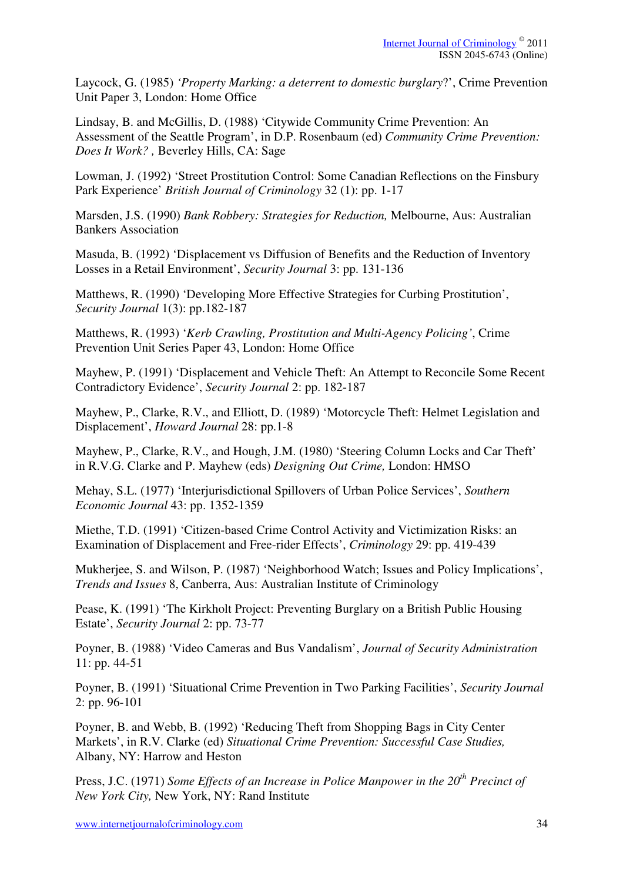Laycock, G. (1985) *'Property Marking: a deterrent to domestic burglary*?', Crime Prevention Unit Paper 3, London: Home Office

Lindsay, B. and McGillis, D. (1988) 'Citywide Community Crime Prevention: An Assessment of the Seattle Program', in D.P. Rosenbaum (ed) *Community Crime Prevention: Does It Work? ,* Beverley Hills, CA: Sage

Lowman, J. (1992) 'Street Prostitution Control: Some Canadian Reflections on the Finsbury Park Experience' *British Journal of Criminology* 32 (1): pp. 1-17

Marsden, J.S. (1990) *Bank Robbery: Strategies for Reduction,* Melbourne, Aus: Australian Bankers Association

Masuda, B. (1992) 'Displacement vs Diffusion of Benefits and the Reduction of Inventory Losses in a Retail Environment', *Security Journal* 3: pp. 131-136

Matthews, R. (1990) 'Developing More Effective Strategies for Curbing Prostitution', *Security Journal* 1(3): pp.182-187

Matthews, R. (1993) '*Kerb Crawling, Prostitution and Multi-Agency Policing'*, Crime Prevention Unit Series Paper 43, London: Home Office

Mayhew, P. (1991) 'Displacement and Vehicle Theft: An Attempt to Reconcile Some Recent Contradictory Evidence', *Security Journal* 2: pp. 182-187

Mayhew, P., Clarke, R.V., and Elliott, D. (1989) 'Motorcycle Theft: Helmet Legislation and Displacement', *Howard Journal* 28: pp.1-8

Mayhew, P., Clarke, R.V., and Hough, J.M. (1980) 'Steering Column Locks and Car Theft' in R.V.G. Clarke and P. Mayhew (eds) *Designing Out Crime,* London: HMSO

Mehay, S.L. (1977) 'Interjurisdictional Spillovers of Urban Police Services', *Southern Economic Journal* 43: pp. 1352-1359

Miethe, T.D. (1991) 'Citizen-based Crime Control Activity and Victimization Risks: an Examination of Displacement and Free-rider Effects', *Criminology* 29: pp. 419-439

Mukherjee, S. and Wilson, P. (1987) 'Neighborhood Watch; Issues and Policy Implications', *Trends and Issues* 8, Canberra, Aus: Australian Institute of Criminology

Pease, K. (1991) 'The Kirkholt Project: Preventing Burglary on a British Public Housing Estate', *Security Journal* 2: pp. 73-77

Poyner, B. (1988) 'Video Cameras and Bus Vandalism', *Journal of Security Administration*  11: pp. 44-51

Poyner, B. (1991) 'Situational Crime Prevention in Two Parking Facilities', *Security Journal*  2: pp. 96-101

Poyner, B. and Webb, B. (1992) 'Reducing Theft from Shopping Bags in City Center Markets', in R.V. Clarke (ed) *Situational Crime Prevention: Successful Case Studies,*  Albany, NY: Harrow and Heston

Press, J.C. (1971) *Some Effects of an Increase in Police Manpower in the 20th Precinct of New York City,* New York, NY: Rand Institute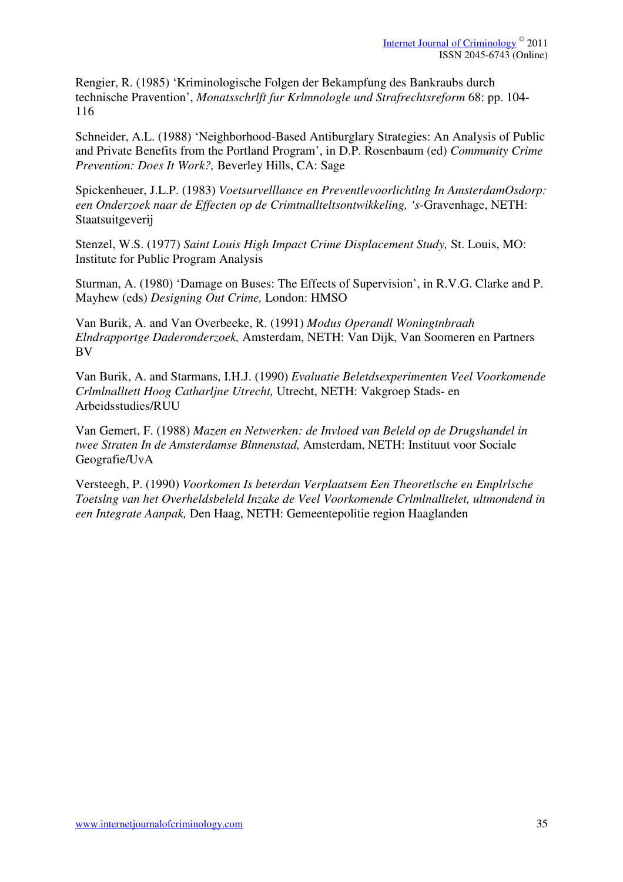Rengier, R. (1985) 'Kriminologische Folgen der Bekampfung des Bankraubs durch technische Pravention', *Monatsschrlft fur Krlmnologle und Strafrechtsreform* 68: pp. 104- 116

Schneider, A.L. (1988) 'Neighborhood-Based Antiburglary Strategies: An Analysis of Public and Private Benefits from the Portland Program', in D.P. Rosenbaum (ed) *Community Crime Prevention: Does It Work?,* Beverley Hills, CA: Sage

Spickenheuer, J.L.P. (1983) *Voetsurvelllance en Preventlevoorlichtlng In AmsterdamOsdorp: een Onderzoek naar de Effecten op de Crimtnallteltsontwikkeling, 's*-Gravenhage, NETH: Staatsuitgeverij

Stenzel, W.S. (1977) *Saint Louis High Impact Crime Displacement Study,* St. Louis, MO: Institute for Public Program Analysis

Sturman, A. (1980) 'Damage on Buses: The Effects of Supervision', in R.V.G. Clarke and P. Mayhew (eds) *Designing Out Crime,* London: HMSO

Van Burik, A. and Van Overbeeke, R. (1991) *Modus Operandl Woningtnbraah Elndrapportge Daderonderzoek,* Amsterdam, NETH: Van Dijk, Van Soomeren en Partners BV

Van Burik, A. and Starmans, I.H.J. (1990) *Evaluatie Beletdsexperimenten Veel Voorkomende Crlmlnalltett Hoog Catharljne Utrecht,* Utrecht, NETH: Vakgroep Stads- en Arbeidsstudies/RUU

Van Gemert, F. (1988) *Mazen en Netwerken: de Invloed van Beleld op de Drugshandel in twee Straten In de Amsterdamse Blnnenstad,* Amsterdam, NETH: Instituut voor Sociale Geografie/UvA

Versteegh, P. (1990) *Voorkomen Is beterdan Verplaatsem Een Theoretlsche en Emplrlsche Toetslng van het Overheldsbeleld Inzake de Veel Voorkomende Crlmlnalltelet, ultmondend in een Integrate Aanpak,* Den Haag, NETH: Gemeentepolitie region Haaglanden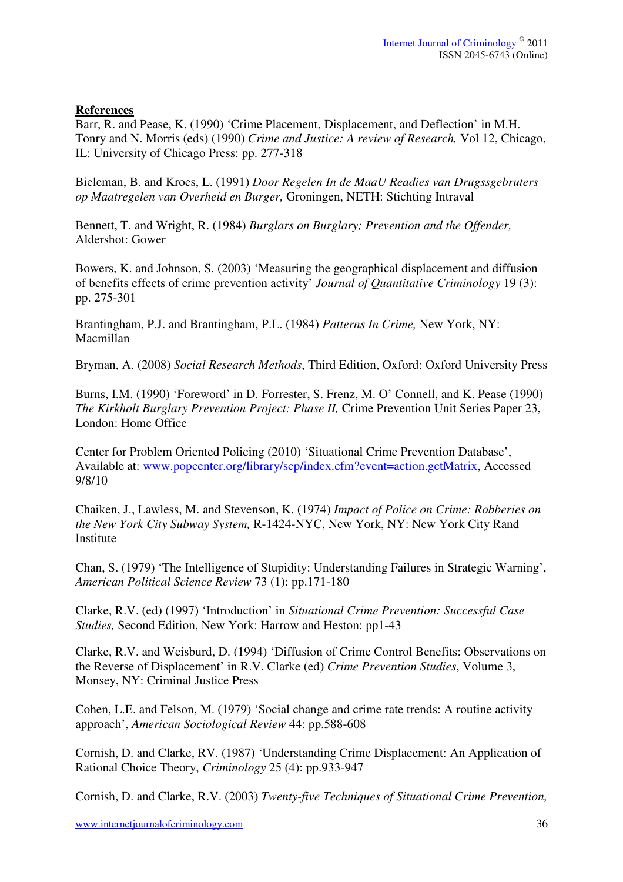# **References**

Barr, R. and Pease, K. (1990) 'Crime Placement, Displacement, and Deflection' in M.H. Tonry and N. Morris (eds) (1990) *Crime and Justice: A review of Research,* Vol 12, Chicago, IL: University of Chicago Press: pp. 277-318

Bieleman, B. and Kroes, L. (1991) *Door Regelen In de MaaU Readies van Drugssgebruters op Maatregelen van Overheid en Burger,* Groningen, NETH: Stichting Intraval

Bennett, T. and Wright, R. (1984) *Burglars on Burglary; Prevention and the Offender,*  Aldershot: Gower

Bowers, K. and Johnson, S. (2003) 'Measuring the geographical displacement and diffusion of benefits effects of crime prevention activity' *Journal of Quantitative Criminology* 19 (3): pp. 275-301

Brantingham, P.J. and Brantingham, P.L. (1984) *Patterns In Crime,* New York, NY: Macmillan

Bryman, A. (2008) *Social Research Methods*, Third Edition, Oxford: Oxford University Press

Burns, I.M. (1990) 'Foreword' in D. Forrester, S. Frenz, M. O' Connell, and K. Pease (1990) *The Kirkholt Burglary Prevention Project: Phase II,* Crime Prevention Unit Series Paper 23, London: Home Office

Center for Problem Oriented Policing (2010) 'Situational Crime Prevention Database', Available at: www.popcenter.org/library/scp/index.cfm?event=action.getMatrix, Accessed 9/8/10

Chaiken, J., Lawless, M. and Stevenson, K. (1974) *Impact of Police on Crime: Robberies on the New York City Subway System,* R-1424-NYC, New York, NY: New York City Rand **Institute** 

Chan, S. (1979) 'The Intelligence of Stupidity: Understanding Failures in Strategic Warning', *American Political Science Review* 73 (1): pp.171-180

Clarke, R.V. (ed) (1997) 'Introduction' in *Situational Crime Prevention: Successful Case Studies,* Second Edition, New York: Harrow and Heston: pp1-43

Clarke, R.V. and Weisburd, D. (1994) 'Diffusion of Crime Control Benefits: Observations on the Reverse of Displacement' in R.V. Clarke (ed) *Crime Prevention Studies*, Volume 3, Monsey, NY: Criminal Justice Press

Cohen, L.E. and Felson, M. (1979) 'Social change and crime rate trends: A routine activity approach', *American Sociological Review* 44: pp.588-608

Cornish, D. and Clarke, RV. (1987) 'Understanding Crime Displacement: An Application of Rational Choice Theory, *Criminology* 25 (4): pp.933-947

Cornish, D. and Clarke, R.V. (2003) *Twenty-five Techniques of Situational Crime Prevention,*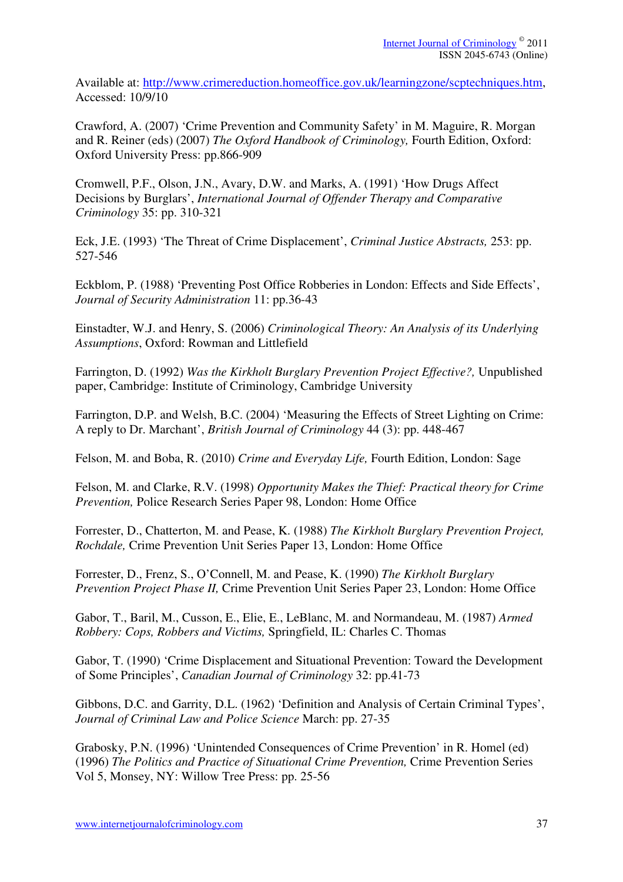Available at: http://www.crimereduction.homeoffice.gov.uk/learningzone/scptechniques.htm, Accessed: 10/9/10

Crawford, A. (2007) 'Crime Prevention and Community Safety' in M. Maguire, R. Morgan and R. Reiner (eds) (2007) *The Oxford Handbook of Criminology,* Fourth Edition, Oxford: Oxford University Press: pp.866-909

Cromwell, P.F., Olson, J.N., Avary, D.W. and Marks, A. (1991) 'How Drugs Affect Decisions by Burglars', *International Journal of Offender Therapy and Comparative Criminology* 35: pp. 310-321

Eck, J.E. (1993) 'The Threat of Crime Displacement', *Criminal Justice Abstracts,* 253: pp. 527-546

Eckblom, P. (1988) 'Preventing Post Office Robberies in London: Effects and Side Effects', *Journal of Security Administration* 11: pp.36-43

Einstadter, W.J. and Henry, S. (2006) *Criminological Theory: An Analysis of its Underlying Assumptions*, Oxford: Rowman and Littlefield

Farrington, D. (1992) *Was the Kirkholt Burglary Prevention Project Effective?,* Unpublished paper, Cambridge: Institute of Criminology, Cambridge University

Farrington, D.P. and Welsh, B.C. (2004) 'Measuring the Effects of Street Lighting on Crime: A reply to Dr. Marchant', *British Journal of Criminology* 44 (3): pp. 448-467

Felson, M. and Boba, R. (2010) *Crime and Everyday Life,* Fourth Edition, London: Sage

Felson, M. and Clarke, R.V. (1998) *Opportunity Makes the Thief: Practical theory for Crime Prevention,* Police Research Series Paper 98, London: Home Office

Forrester, D., Chatterton, M. and Pease, K. (1988) *The Kirkholt Burglary Prevention Project, Rochdale,* Crime Prevention Unit Series Paper 13, London: Home Office

Forrester, D., Frenz, S., O'Connell, M. and Pease, K. (1990) *The Kirkholt Burglary Prevention Project Phase II,* Crime Prevention Unit Series Paper 23, London: Home Office

Gabor, T., Baril, M., Cusson, E., Elie, E., LeBlanc, M. and Normandeau, M. (1987) *Armed Robbery: Cops, Robbers and Victims,* Springfield, IL: Charles C. Thomas

Gabor, T. (1990) 'Crime Displacement and Situational Prevention: Toward the Development of Some Principles', *Canadian Journal of Criminology* 32: pp.41-73

Gibbons, D.C. and Garrity, D.L. (1962) 'Definition and Analysis of Certain Criminal Types', *Journal of Criminal Law and Police Science* March: pp. 27-35

Grabosky, P.N. (1996) 'Unintended Consequences of Crime Prevention' in R. Homel (ed) (1996) *The Politics and Practice of Situational Crime Prevention,* Crime Prevention Series Vol 5, Monsey, NY: Willow Tree Press: pp. 25-56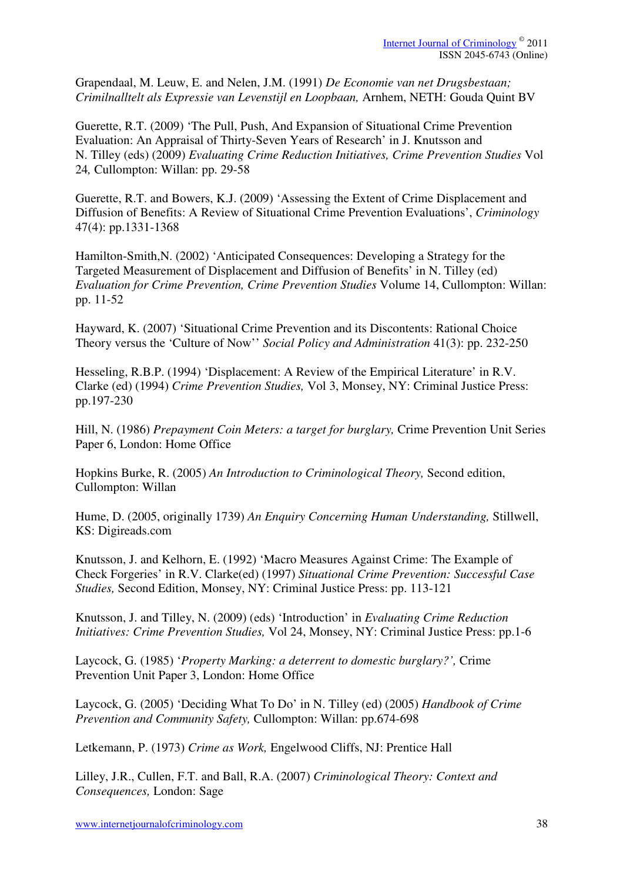Grapendaal, M. Leuw, E. and Nelen, J.M. (1991) *De Economie van net Drugsbestaan; Crimilnalltelt als Expressie van Levenstijl en Loopbaan,* Arnhem, NETH: Gouda Quint BV

Guerette, R.T. (2009) 'The Pull, Push, And Expansion of Situational Crime Prevention Evaluation: An Appraisal of Thirty-Seven Years of Research' in J. Knutsson and N. Tilley (eds) (2009) *Evaluating Crime Reduction Initiatives, Crime Prevention Studies* Vol 24*,* Cullompton: Willan: pp. 29-58

Guerette, R.T. and Bowers, K.J. (2009) 'Assessing the Extent of Crime Displacement and Diffusion of Benefits: A Review of Situational Crime Prevention Evaluations', *Criminology* 47(4): pp.1331-1368

Hamilton-Smith,N. (2002) 'Anticipated Consequences: Developing a Strategy for the Targeted Measurement of Displacement and Diffusion of Benefits' in N. Tilley (ed) *Evaluation for Crime Prevention, Crime Prevention Studies* Volume 14, Cullompton: Willan: pp. 11-52

Hayward, K. (2007) 'Situational Crime Prevention and its Discontents: Rational Choice Theory versus the 'Culture of Now'' *Social Policy and Administration* 41(3): pp. 232-250

Hesseling, R.B.P. (1994) 'Displacement: A Review of the Empirical Literature' in R.V. Clarke (ed) (1994) *Crime Prevention Studies,* Vol 3, Monsey, NY: Criminal Justice Press: pp.197-230

Hill, N. (1986) *Prepayment Coin Meters: a target for burglary,* Crime Prevention Unit Series Paper 6, London: Home Office

Hopkins Burke, R. (2005) *An Introduction to Criminological Theory,* Second edition, Cullompton: Willan

Hume, D. (2005, originally 1739) *An Enquiry Concerning Human Understanding,* Stillwell, KS: Digireads.com

Knutsson, J. and Kelhorn, E. (1992) 'Macro Measures Against Crime: The Example of Check Forgeries' in R.V. Clarke(ed) (1997) *Situational Crime Prevention: Successful Case Studies,* Second Edition, Monsey, NY: Criminal Justice Press: pp. 113-121

Knutsson, J. and Tilley, N. (2009) (eds) 'Introduction' in *Evaluating Crime Reduction Initiatives: Crime Prevention Studies,* Vol 24, Monsey, NY: Criminal Justice Press: pp.1-6

Laycock, G. (1985) '*Property Marking: a deterrent to domestic burglary?',* Crime Prevention Unit Paper 3, London: Home Office

Laycock, G. (2005) 'Deciding What To Do' in N. Tilley (ed) (2005) *Handbook of Crime Prevention and Community Safety,* Cullompton: Willan: pp.674-698

Letkemann, P. (1973) *Crime as Work,* Engelwood Cliffs, NJ: Prentice Hall

Lilley, J.R., Cullen, F.T. and Ball, R.A. (2007) *Criminological Theory: Context and Consequences,* London: Sage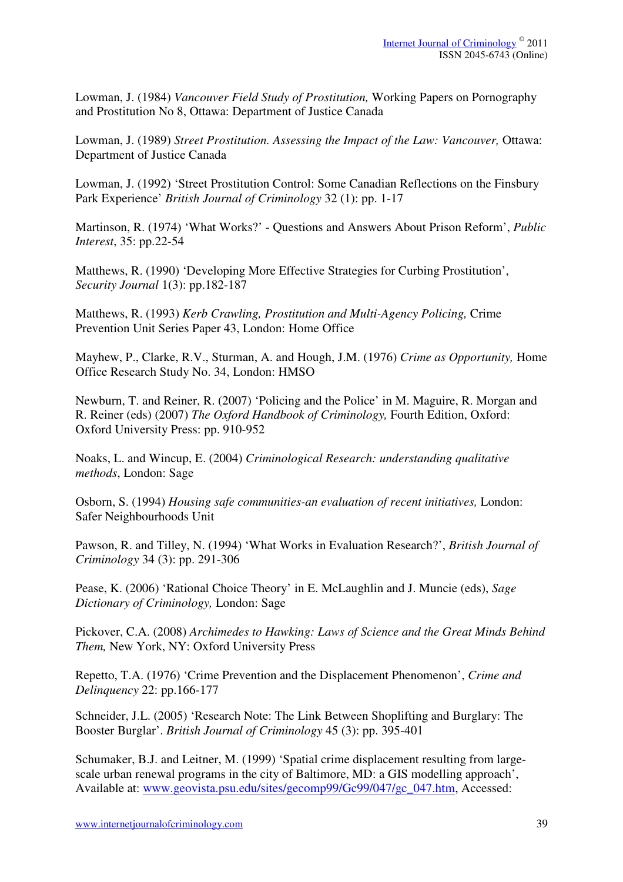Lowman, J. (1984) *Vancouver Field Study of Prostitution,* Working Papers on Pornography and Prostitution No 8, Ottawa: Department of Justice Canada

Lowman, J. (1989) Street Prostitution. Assessing the Impact of the Law: Vancouver, Ottawa: Department of Justice Canada

Lowman, J. (1992) 'Street Prostitution Control: Some Canadian Reflections on the Finsbury Park Experience' *British Journal of Criminology* 32 (1): pp. 1-17

Martinson, R. (1974) 'What Works?' - Questions and Answers About Prison Reform', *Public Interest*, 35: pp.22-54

Matthews, R. (1990) 'Developing More Effective Strategies for Curbing Prostitution', *Security Journal* 1(3): pp.182-187

Matthews, R. (1993) *Kerb Crawling, Prostitution and Multi-Agency Policing,* Crime Prevention Unit Series Paper 43, London: Home Office

Mayhew, P., Clarke, R.V., Sturman, A. and Hough, J.M. (1976) *Crime as Opportunity,* Home Office Research Study No. 34, London: HMSO

Newburn, T. and Reiner, R. (2007) 'Policing and the Police' in M. Maguire, R. Morgan and R. Reiner (eds) (2007) *The Oxford Handbook of Criminology,* Fourth Edition, Oxford: Oxford University Press: pp. 910-952

Noaks, L. and Wincup, E. (2004) *Criminological Research: understanding qualitative methods*, London: Sage

Osborn, S. (1994) *Housing safe communities-an evaluation of recent initiatives,* London: Safer Neighbourhoods Unit

Pawson, R. and Tilley, N. (1994) 'What Works in Evaluation Research?', *British Journal of Criminology* 34 (3): pp. 291-306

Pease, K. (2006) 'Rational Choice Theory' in E. McLaughlin and J. Muncie (eds), *Sage Dictionary of Criminology,* London: Sage

Pickover, C.A. (2008) *Archimedes to Hawking: Laws of Science and the Great Minds Behind Them,* New York, NY: Oxford University Press

Repetto, T.A. (1976) 'Crime Prevention and the Displacement Phenomenon', *Crime and Delinquency* 22: pp.166-177

Schneider, J.L. (2005) 'Research Note: The Link Between Shoplifting and Burglary: The Booster Burglar'. *British Journal of Criminology* 45 (3): pp. 395-401

Schumaker, B.J. and Leitner, M. (1999) 'Spatial crime displacement resulting from largescale urban renewal programs in the city of Baltimore, MD: a GIS modelling approach', Available at: www.geovista.psu.edu/sites/gecomp99/Gc99/047/gc\_047.htm, Accessed: